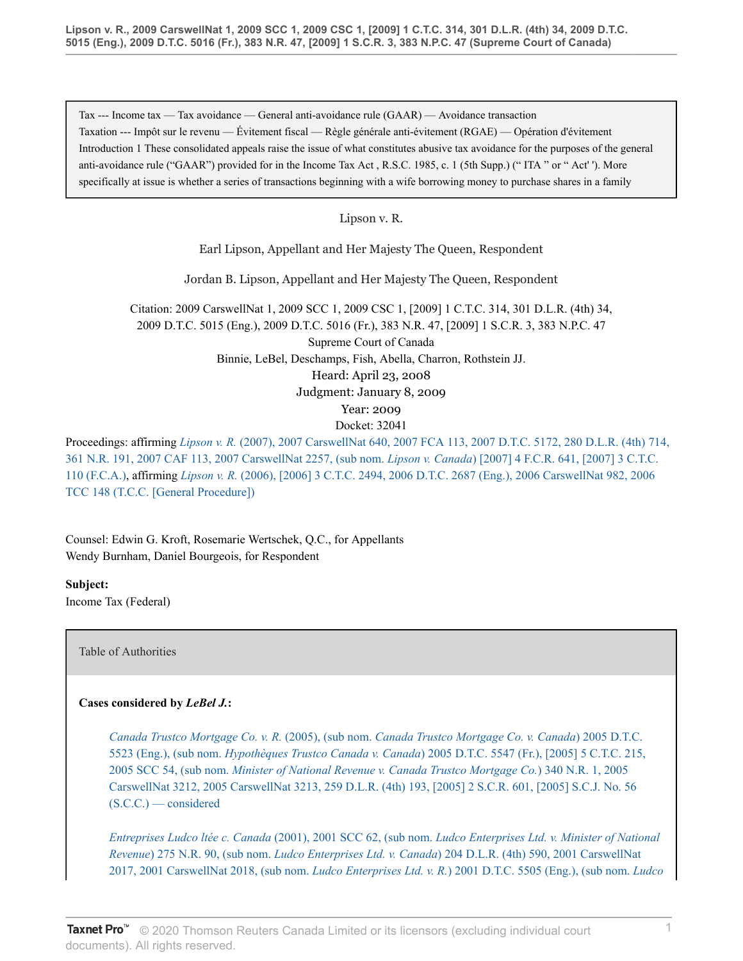Tax --- Income tax — Tax avoidance — General anti-avoidance rule (GAAR) — Avoidance transaction Taxation --- Impôt sur le revenu — Évitement fiscal — Règle générale anti-évitement (RGAE) — Opération d'évitement Introduction 1 These consolidated appeals raise the issue of what constitutes abusive tax avoidance for the purposes of the general anti-avoidance rule ("GAAR") provided for in the Income Tax Act , R.S.C. 1985, c. 1 (5th Supp.) (" ITA " or " Act' '). More specifically at issue is whether a series of transactions beginning with a wife borrowing money to purchase shares in a family

Lipson v. R.

Earl Lipson, Appellant and Her Majesty The Queen, Respondent

Jordan B. Lipson, Appellant and Her Majesty The Queen, Respondent

Citation: 2009 CarswellNat 1, 2009 SCC 1, 2009 CSC 1, [2009] 1 C.T.C. 314, 301 D.L.R. (4th) 34, 2009 D.T.C. 5015 (Eng.), 2009 D.T.C. 5016 (Fr.), 383 N.R. 47, [2009] 1 S.C.R. 3, 383 N.P.C. 47 Supreme Court of Canada Binnie, LeBel, Deschamps, Fish, Abella, Charron, Rothstein JJ. Heard: April 23, 2008 Judgment: January 8, 2009 Year: 2009 Docket: 32041

Proceedings: affirming *Lipson v. R.* [\(2007\), 2007 CarswellNat 640, 2007 FCA 113, 2007 D.T.C. 5172, 280 D.L.R. \(4th\) 714,](http://v3.taxnetpro.com/Document/I8d7d939373995dece0440003ba833f85/View/FullText.html?originationContext=document&vr=3.0&rs=cblt1.0&transitionType=DocumentItem&contextData=(sc.Search)) [361 N.R. 191, 2007 CAF 113, 2007 CarswellNat 2257, \(sub nom.](http://v3.taxnetpro.com/Document/I8d7d939373995dece0440003ba833f85/View/FullText.html?originationContext=document&vr=3.0&rs=cblt1.0&transitionType=DocumentItem&contextData=(sc.Search)) *Lipson v. Canada*) [2007] 4 F.C.R. 641, [2007] 3 C.T.C. [110 \(F.C.A.\),](http://v3.taxnetpro.com/Document/I8d7d939373995dece0440003ba833f85/View/FullText.html?originationContext=document&vr=3.0&rs=cblt1.0&transitionType=DocumentItem&contextData=(sc.Search)) affirming *Lipson v. R.* [\(2006\), \[2006\] 3 C.T.C. 2494, 2006 D.T.C. 2687 \(Eng.\), 2006 CarswellNat 982, 2006](http://v3.taxnetpro.com/Document/I8d7d939391ef5dece0440003ba833f85/View/FullText.html?originationContext=document&vr=3.0&rs=cblt1.0&transitionType=DocumentItem&contextData=(sc.Search)) [TCC 148 \(T.C.C. \[General Procedure\]\)](http://v3.taxnetpro.com/Document/I8d7d939391ef5dece0440003ba833f85/View/FullText.html?originationContext=document&vr=3.0&rs=cblt1.0&transitionType=DocumentItem&contextData=(sc.Search))

Counsel: Edwin G. Kroft, Rosemarie Wertschek, Q.C., for Appellants Wendy Burnham, Daniel Bourgeois, for Respondent

**Subject:** Income Tax (Federal)

Table of Authorities

# **Cases considered by** *LeBel J.***:**

*Canada Trustco Mortgage Co. v. R.* (2005), (sub nom. *[Canada Trustco Mortgage Co. v. Canada](http://v3.taxnetpro.com/Document/I8d7d939394245dece0440003ba833f85/View/FullText.html?originationContext=document&vr=3.0&rs=cblt1.0&transitionType=DocumentItem&contextData=(sc.Search))*) 2005 D.T.C. 5523 (Eng.), (sub nom. *Hypothèques Trustco Canada v. Canada*[\) 2005 D.T.C. 5547 \(Fr.\), \[2005\] 5 C.T.C. 215,](http://v3.taxnetpro.com/Document/I8d7d939394245dece0440003ba833f85/View/FullText.html?originationContext=document&vr=3.0&rs=cblt1.0&transitionType=DocumentItem&contextData=(sc.Search)) 2005 SCC 54, (sub nom. *[Minister of National Revenue v. Canada Trustco Mortgage Co.](http://v3.taxnetpro.com/Document/I8d7d939394245dece0440003ba833f85/View/FullText.html?originationContext=document&vr=3.0&rs=cblt1.0&transitionType=DocumentItem&contextData=(sc.Search))*) 340 N.R. 1, 2005 [CarswellNat 3212, 2005 CarswellNat 3213, 259 D.L.R. \(4th\) 193, \[2005\] 2 S.C.R. 601, \[2005\] S.C.J. No. 56](http://v3.taxnetpro.com/Document/I8d7d939394245dece0440003ba833f85/View/FullText.html?originationContext=document&vr=3.0&rs=cblt1.0&transitionType=DocumentItem&contextData=(sc.Search)) [\(S.C.C.\) — considered](http://v3.taxnetpro.com/Document/I8d7d939394245dece0440003ba833f85/View/FullText.html?originationContext=document&vr=3.0&rs=cblt1.0&transitionType=DocumentItem&contextData=(sc.Search))

*Entreprises Ludco ltée c. Canada* (2001), 2001 SCC 62, (sub nom. *[Ludco Enterprises Ltd. v. Minister of National](http://v3.taxnetpro.com/Document/I8d7d9393e0e25dece0440003ba833f85/View/FullText.html?originationContext=document&vr=3.0&rs=cblt1.0&transitionType=DocumentItem&contextData=(sc.Search)) Revenue*) 275 N.R. 90, (sub nom. *Ludco Enterprises Ltd. v. Canada*[\) 204 D.L.R. \(4th\) 590, 2001 CarswellNat](http://v3.taxnetpro.com/Document/I8d7d9393e0e25dece0440003ba833f85/View/FullText.html?originationContext=document&vr=3.0&rs=cblt1.0&transitionType=DocumentItem&contextData=(sc.Search)) [2017, 2001 CarswellNat 2018, \(sub nom.](http://v3.taxnetpro.com/Document/I8d7d9393e0e25dece0440003ba833f85/View/FullText.html?originationContext=document&vr=3.0&rs=cblt1.0&transitionType=DocumentItem&contextData=(sc.Search)) *Ludco Enterprises Ltd. v. R.*) 2001 D.T.C. 5505 (Eng.), (sub nom. *Ludco*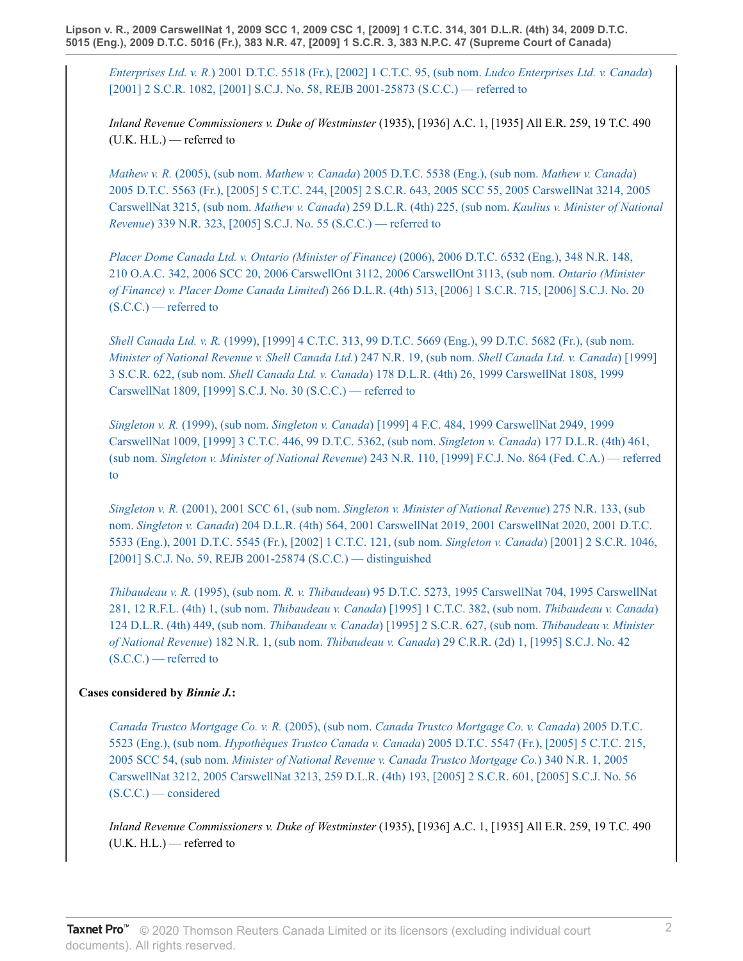*Enterprises Ltd. v. R.*[\) 2001 D.T.C. 5518 \(Fr.\), \[2002\] 1 C.T.C. 95, \(sub nom.](http://v3.taxnetpro.com/Document/I8d7d9393e0e25dece0440003ba833f85/View/FullText.html?originationContext=document&vr=3.0&rs=cblt1.0&transitionType=DocumentItem&contextData=(sc.Search)) *Ludco Enterprises Ltd. v. Canada*) [\[2001\] 2 S.C.R. 1082, \[2001\] S.C.J. No. 58, REJB 2001-25873 \(S.C.C.\) — referred to](http://v3.taxnetpro.com/Document/I8d7d9393e0e25dece0440003ba833f85/View/FullText.html?originationContext=document&vr=3.0&rs=cblt1.0&transitionType=DocumentItem&contextData=(sc.Search))

*Inland Revenue Commissioners v. Duke of Westminster* (1935), [1936] A.C. 1, [1935] All E.R. 259, 19 T.C. 490  $(U.K. H.L.)$  — referred to

*Mathew v. R.* (2005), (sub nom. *Mathew v. Canada*[\) 2005 D.T.C. 5538 \(Eng.\), \(sub nom.](http://v3.taxnetpro.com/Document/I8d7d9393941e5dece0440003ba833f85/View/FullText.html?originationContext=document&vr=3.0&rs=cblt1.0&transitionType=DocumentItem&contextData=(sc.Search)) *Mathew v. Canada*) [2005 D.T.C. 5563 \(Fr.\), \[2005\] 5 C.T.C. 244, \[2005\] 2 S.C.R. 643, 2005 SCC 55, 2005 CarswellNat 3214, 2005](http://v3.taxnetpro.com/Document/I8d7d9393941e5dece0440003ba833f85/View/FullText.html?originationContext=document&vr=3.0&rs=cblt1.0&transitionType=DocumentItem&contextData=(sc.Search)) CarswellNat 3215, (sub nom. *Mathew v. Canada*[\) 259 D.L.R. \(4th\) 225, \(sub nom.](http://v3.taxnetpro.com/Document/I8d7d9393941e5dece0440003ba833f85/View/FullText.html?originationContext=document&vr=3.0&rs=cblt1.0&transitionType=DocumentItem&contextData=(sc.Search)) *Kaulius v. Minister of National Revenue*[\) 339 N.R. 323, \[2005\] S.C.J. No. 55 \(S.C.C.\) — referred to](http://v3.taxnetpro.com/Document/I8d7d9393941e5dece0440003ba833f85/View/FullText.html?originationContext=document&vr=3.0&rs=cblt1.0&transitionType=DocumentItem&contextData=(sc.Search))

*[Placer Dome Canada Ltd. v. Ontario \(Minister of Finance\)](http://v3.taxnetpro.com/Document/I8d8337a2d54a2030e0440003ba833f85/View/FullText.html?originationContext=document&vr=3.0&rs=cblt1.0&transitionType=DocumentItem&contextData=(sc.Search))* (2006), 2006 D.T.C. 6532 (Eng.), 348 N.R. 148, [210 O.A.C. 342, 2006 SCC 20, 2006 CarswellOnt 3112, 2006 CarswellOnt 3113, \(sub nom.](http://v3.taxnetpro.com/Document/I8d8337a2d54a2030e0440003ba833f85/View/FullText.html?originationContext=document&vr=3.0&rs=cblt1.0&transitionType=DocumentItem&contextData=(sc.Search)) *Ontario (Minister of Finance) v. Placer Dome Canada Limited*[\) 266 D.L.R. \(4th\) 513, \[2006\] 1 S.C.R. 715, \[2006\] S.C.J. No. 20](http://v3.taxnetpro.com/Document/I8d8337a2d54a2030e0440003ba833f85/View/FullText.html?originationContext=document&vr=3.0&rs=cblt1.0&transitionType=DocumentItem&contextData=(sc.Search))  $(S.C.C.)$  — referred to

*Shell Canada Ltd. v. R.* [\(1999\), \[1999\] 4 C.T.C. 313, 99 D.T.C. 5669 \(Eng.\), 99 D.T.C. 5682 \(Fr.\), \(sub nom.](http://v3.taxnetpro.com/Document/I8d7d9393fbab5dece0440003ba833f85/View/FullText.html?originationContext=document&vr=3.0&rs=cblt1.0&transitionType=DocumentItem&contextData=(sc.Search)) *[Minister of National Revenue v. Shell Canada Ltd.](http://v3.taxnetpro.com/Document/I8d7d9393fbab5dece0440003ba833f85/View/FullText.html?originationContext=document&vr=3.0&rs=cblt1.0&transitionType=DocumentItem&contextData=(sc.Search))*) 247 N.R. 19, (sub nom. *Shell Canada Ltd. v. Canada*) [1999] 3 S.C.R. 622, (sub nom. *Shell Canada Ltd. v. Canada*[\) 178 D.L.R. \(4th\) 26, 1999 CarswellNat 1808, 1999](http://v3.taxnetpro.com/Document/I8d7d9393fbab5dece0440003ba833f85/View/FullText.html?originationContext=document&vr=3.0&rs=cblt1.0&transitionType=DocumentItem&contextData=(sc.Search)) [CarswellNat 1809, \[1999\] S.C.J. No. 30 \(S.C.C.\) — referred to](http://v3.taxnetpro.com/Document/I8d7d9393fbab5dece0440003ba833f85/View/FullText.html?originationContext=document&vr=3.0&rs=cblt1.0&transitionType=DocumentItem&contextData=(sc.Search))

*Singleton v. R.* (1999), (sub nom. *Singleton v. Canada*[\) \[1999\] 4 F.C. 484, 1999 CarswellNat 2949, 1999](http://v3.taxnetpro.com/Document/I8d7d9393fce25dece0440003ba833f85/View/FullText.html?originationContext=document&vr=3.0&rs=cblt1.0&transitionType=DocumentItem&contextData=(sc.Search)) [CarswellNat 1009, \[1999\] 3 C.T.C. 446, 99 D.T.C. 5362, \(sub nom.](http://v3.taxnetpro.com/Document/I8d7d9393fce25dece0440003ba833f85/View/FullText.html?originationContext=document&vr=3.0&rs=cblt1.0&transitionType=DocumentItem&contextData=(sc.Search)) *Singleton v. Canada*) 177 D.L.R. (4th) 461, (sub nom. *Singleton v. Minister of National Revenue*[\) 243 N.R. 110, \[1999\] F.C.J. No. 864 \(Fed. C.A.\) — referred](http://v3.taxnetpro.com/Document/I8d7d9393fce25dece0440003ba833f85/View/FullText.html?originationContext=document&vr=3.0&rs=cblt1.0&transitionType=DocumentItem&contextData=(sc.Search)) [to](http://v3.taxnetpro.com/Document/I8d7d9393fce25dece0440003ba833f85/View/FullText.html?originationContext=document&vr=3.0&rs=cblt1.0&transitionType=DocumentItem&contextData=(sc.Search))

*Singleton v. R.* (2001), 2001 SCC 61, (sub nom. *[Singleton v. Minister of National Revenue](http://v3.taxnetpro.com/Document/I8d7d9393e0df5dece0440003ba833f85/View/FullText.html?originationContext=document&vr=3.0&rs=cblt1.0&transitionType=DocumentItem&contextData=(sc.Search))*) 275 N.R. 133, (sub nom. *Singleton v. Canada*[\) 204 D.L.R. \(4th\) 564, 2001 CarswellNat 2019, 2001 CarswellNat 2020, 2001 D.T.C.](http://v3.taxnetpro.com/Document/I8d7d9393e0df5dece0440003ba833f85/View/FullText.html?originationContext=document&vr=3.0&rs=cblt1.0&transitionType=DocumentItem&contextData=(sc.Search)) [5533 \(Eng.\), 2001 D.T.C. 5545 \(Fr.\), \[2002\] 1 C.T.C. 121, \(sub nom.](http://v3.taxnetpro.com/Document/I8d7d9393e0df5dece0440003ba833f85/View/FullText.html?originationContext=document&vr=3.0&rs=cblt1.0&transitionType=DocumentItem&contextData=(sc.Search)) *Singleton v. Canada*) [2001] 2 S.C.R. 1046, [\[2001\] S.C.J. No. 59, REJB 2001-25874 \(S.C.C.\) — distinguished](http://v3.taxnetpro.com/Document/I8d7d9393e0df5dece0440003ba833f85/View/FullText.html?originationContext=document&vr=3.0&rs=cblt1.0&transitionType=DocumentItem&contextData=(sc.Search))

*Thibaudeau v. R.* (1995), (sub nom. *R. v. Thibaudeau*[\) 95 D.T.C. 5273, 1995 CarswellNat 704, 1995 CarswellNat](http://v3.taxnetpro.com/Document/I8d7d93942ad65dece0440003ba833f85/View/FullText.html?originationContext=document&vr=3.0&rs=cblt1.0&transitionType=DocumentItem&contextData=(sc.Search)) [281, 12 R.F.L. \(4th\) 1, \(sub nom.](http://v3.taxnetpro.com/Document/I8d7d93942ad65dece0440003ba833f85/View/FullText.html?originationContext=document&vr=3.0&rs=cblt1.0&transitionType=DocumentItem&contextData=(sc.Search)) *Thibaudeau v. Canada*) [1995] 1 C.T.C. 382, (sub nom. *Thibaudeau v. Canada*) 124 D.L.R. (4th) 449, (sub nom. *Thibaudeau v. Canada*[\) \[1995\] 2 S.C.R. 627, \(sub nom.](http://v3.taxnetpro.com/Document/I8d7d93942ad65dece0440003ba833f85/View/FullText.html?originationContext=document&vr=3.0&rs=cblt1.0&transitionType=DocumentItem&contextData=(sc.Search)) *Thibaudeau v. Minister of National Revenue*) 182 N.R. 1, (sub nom. *Thibaudeau v. Canada*[\) 29 C.R.R. \(2d\) 1, \[1995\] S.C.J. No. 42](http://v3.taxnetpro.com/Document/I8d7d93942ad65dece0440003ba833f85/View/FullText.html?originationContext=document&vr=3.0&rs=cblt1.0&transitionType=DocumentItem&contextData=(sc.Search))  $(S.C.C.)$  — referred to

# **Cases considered by** *Binnie J.***:**

*Canada Trustco Mortgage Co. v. R.* (2005), (sub nom. *[Canada Trustco Mortgage Co. v. Canada](http://v3.taxnetpro.com/Document/I8d7d939394245dece0440003ba833f85/View/FullText.html?originationContext=document&vr=3.0&rs=cblt1.0&transitionType=DocumentItem&contextData=(sc.Search))*) 2005 D.T.C. 5523 (Eng.), (sub nom. *Hypothèques Trustco Canada v. Canada*[\) 2005 D.T.C. 5547 \(Fr.\), \[2005\] 5 C.T.C. 215,](http://v3.taxnetpro.com/Document/I8d7d939394245dece0440003ba833f85/View/FullText.html?originationContext=document&vr=3.0&rs=cblt1.0&transitionType=DocumentItem&contextData=(sc.Search)) 2005 SCC 54, (sub nom. *[Minister of National Revenue v. Canada Trustco Mortgage Co.](http://v3.taxnetpro.com/Document/I8d7d939394245dece0440003ba833f85/View/FullText.html?originationContext=document&vr=3.0&rs=cblt1.0&transitionType=DocumentItem&contextData=(sc.Search))*) 340 N.R. 1, 2005 [CarswellNat 3212, 2005 CarswellNat 3213, 259 D.L.R. \(4th\) 193, \[2005\] 2 S.C.R. 601, \[2005\] S.C.J. No. 56](http://v3.taxnetpro.com/Document/I8d7d939394245dece0440003ba833f85/View/FullText.html?originationContext=document&vr=3.0&rs=cblt1.0&transitionType=DocumentItem&contextData=(sc.Search)) [\(S.C.C.\) — considered](http://v3.taxnetpro.com/Document/I8d7d939394245dece0440003ba833f85/View/FullText.html?originationContext=document&vr=3.0&rs=cblt1.0&transitionType=DocumentItem&contextData=(sc.Search))

*Inland Revenue Commissioners v. Duke of Westminster* (1935), [1936] A.C. 1, [1935] All E.R. 259, 19 T.C. 490  $(U.K. H.L.)$  — referred to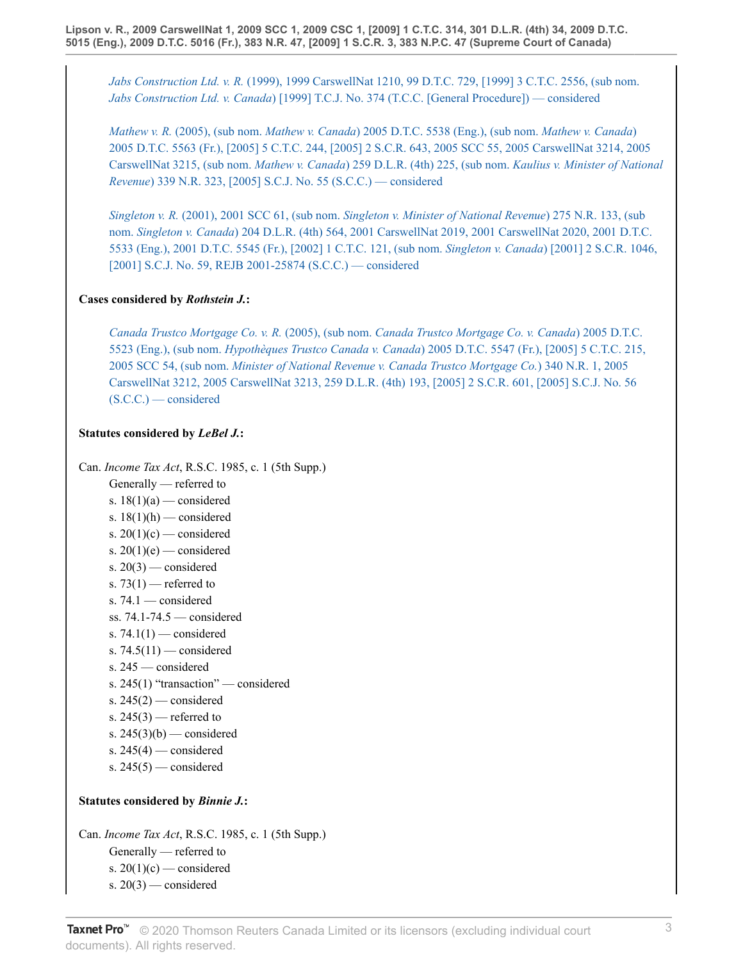*Jabs Construction Ltd. v. R.* [\(1999\), 1999 CarswellNat 1210, 99 D.T.C. 729, \[1999\] 3 C.T.C. 2556, \(sub nom.](http://v3.taxnetpro.com/Document/I8d7d9394045a5dece0440003ba833f85/View/FullText.html?originationContext=document&vr=3.0&rs=cblt1.0&transitionType=DocumentItem&contextData=(sc.Search)) *Jabs Construction Ltd. v. Canada*[\) \[1999\] T.C.J. No. 374 \(T.C.C. \[General Procedure\]\) — considered](http://v3.taxnetpro.com/Document/I8d7d9394045a5dece0440003ba833f85/View/FullText.html?originationContext=document&vr=3.0&rs=cblt1.0&transitionType=DocumentItem&contextData=(sc.Search))

*Mathew v. R.* (2005), (sub nom. *Mathew v. Canada*[\) 2005 D.T.C. 5538 \(Eng.\), \(sub nom.](http://v3.taxnetpro.com/Document/I8d7d9393941e5dece0440003ba833f85/View/FullText.html?originationContext=document&vr=3.0&rs=cblt1.0&transitionType=DocumentItem&contextData=(sc.Search)) *Mathew v. Canada*) [2005 D.T.C. 5563 \(Fr.\), \[2005\] 5 C.T.C. 244, \[2005\] 2 S.C.R. 643, 2005 SCC 55, 2005 CarswellNat 3214, 2005](http://v3.taxnetpro.com/Document/I8d7d9393941e5dece0440003ba833f85/View/FullText.html?originationContext=document&vr=3.0&rs=cblt1.0&transitionType=DocumentItem&contextData=(sc.Search)) CarswellNat 3215, (sub nom. *Mathew v. Canada*[\) 259 D.L.R. \(4th\) 225, \(sub nom.](http://v3.taxnetpro.com/Document/I8d7d9393941e5dece0440003ba833f85/View/FullText.html?originationContext=document&vr=3.0&rs=cblt1.0&transitionType=DocumentItem&contextData=(sc.Search)) *Kaulius v. Minister of National Revenue*[\) 339 N.R. 323, \[2005\] S.C.J. No. 55 \(S.C.C.\) — considered](http://v3.taxnetpro.com/Document/I8d7d9393941e5dece0440003ba833f85/View/FullText.html?originationContext=document&vr=3.0&rs=cblt1.0&transitionType=DocumentItem&contextData=(sc.Search))

*Singleton v. R.* (2001), 2001 SCC 61, (sub nom. *[Singleton v. Minister of National Revenue](http://v3.taxnetpro.com/Document/I8d7d9393e0df5dece0440003ba833f85/View/FullText.html?originationContext=document&vr=3.0&rs=cblt1.0&transitionType=DocumentItem&contextData=(sc.Search))*) 275 N.R. 133, (sub nom. *Singleton v. Canada*[\) 204 D.L.R. \(4th\) 564, 2001 CarswellNat 2019, 2001 CarswellNat 2020, 2001 D.T.C.](http://v3.taxnetpro.com/Document/I8d7d9393e0df5dece0440003ba833f85/View/FullText.html?originationContext=document&vr=3.0&rs=cblt1.0&transitionType=DocumentItem&contextData=(sc.Search)) [5533 \(Eng.\), 2001 D.T.C. 5545 \(Fr.\), \[2002\] 1 C.T.C. 121, \(sub nom.](http://v3.taxnetpro.com/Document/I8d7d9393e0df5dece0440003ba833f85/View/FullText.html?originationContext=document&vr=3.0&rs=cblt1.0&transitionType=DocumentItem&contextData=(sc.Search)) *Singleton v. Canada*) [2001] 2 S.C.R. 1046, [\[2001\] S.C.J. No. 59, REJB 2001-25874 \(S.C.C.\) — considered](http://v3.taxnetpro.com/Document/I8d7d9393e0df5dece0440003ba833f85/View/FullText.html?originationContext=document&vr=3.0&rs=cblt1.0&transitionType=DocumentItem&contextData=(sc.Search))

# **Cases considered by** *Rothstein J.***:**

*Canada Trustco Mortgage Co. v. R.* (2005), (sub nom. *[Canada Trustco Mortgage Co. v. Canada](http://v3.taxnetpro.com/Document/I8d7d939394245dece0440003ba833f85/View/FullText.html?originationContext=document&vr=3.0&rs=cblt1.0&transitionType=DocumentItem&contextData=(sc.Search))*) 2005 D.T.C. 5523 (Eng.), (sub nom. *Hypothèques Trustco Canada v. Canada*[\) 2005 D.T.C. 5547 \(Fr.\), \[2005\] 5 C.T.C. 215,](http://v3.taxnetpro.com/Document/I8d7d939394245dece0440003ba833f85/View/FullText.html?originationContext=document&vr=3.0&rs=cblt1.0&transitionType=DocumentItem&contextData=(sc.Search)) 2005 SCC 54, (sub nom. *[Minister of National Revenue v. Canada Trustco Mortgage Co.](http://v3.taxnetpro.com/Document/I8d7d939394245dece0440003ba833f85/View/FullText.html?originationContext=document&vr=3.0&rs=cblt1.0&transitionType=DocumentItem&contextData=(sc.Search))*) 340 N.R. 1, 2005 [CarswellNat 3212, 2005 CarswellNat 3213, 259 D.L.R. \(4th\) 193, \[2005\] 2 S.C.R. 601, \[2005\] S.C.J. No. 56](http://v3.taxnetpro.com/Document/I8d7d939394245dece0440003ba833f85/View/FullText.html?originationContext=document&vr=3.0&rs=cblt1.0&transitionType=DocumentItem&contextData=(sc.Search)) [\(S.C.C.\) — considered](http://v3.taxnetpro.com/Document/I8d7d939394245dece0440003ba833f85/View/FullText.html?originationContext=document&vr=3.0&rs=cblt1.0&transitionType=DocumentItem&contextData=(sc.Search))

# **Statutes considered by** *LeBel J.***:**

Can. *Income Tax Act*, R.S.C. 1985, c. 1 (5th Supp.)

Generally — referred to s.  $18(1)(a)$  — considered s.  $18(1)(h)$  — considered s.  $20(1)(c)$  — considered s.  $20(1)(e)$  — considered s.  $20(3)$  — considered s.  $73(1)$  — referred to s. 74.1 — considered ss. 74.1-74.5 — considered s.  $74.1(1)$  — considered s.  $74.5(11)$  — considered s. 245 — considered s. 245(1) "transaction" — considered s.  $245(2)$  — considered s.  $245(3)$  — referred to s.  $245(3)(b)$  — considered s.  $245(4)$  — considered s.  $245(5)$  — considered **Statutes considered by** *Binnie J.***:** Can. *Income Tax Act*, R.S.C. 1985, c. 1 (5th Supp.) Generally — referred to s.  $20(1)(c)$  — considered s.  $20(3)$  — considered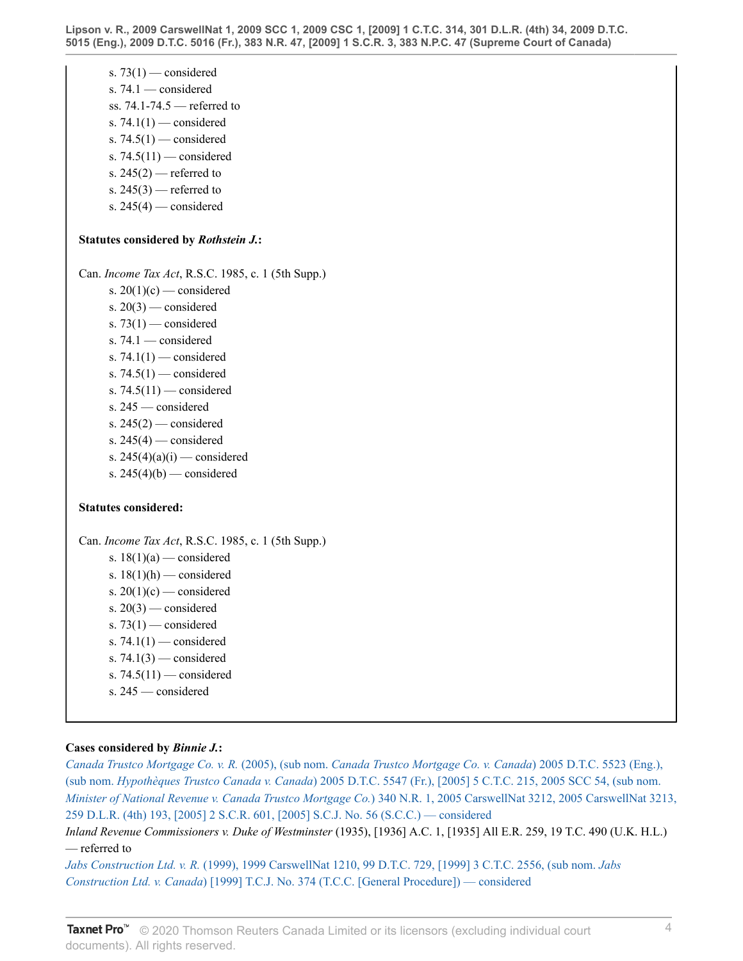s.  $73(1)$  — considered s. 74.1 — considered ss. 74.1-74.5 — referred to s.  $74.1(1)$  — considered s.  $74.5(1)$  — considered s.  $74.5(11)$  — considered s.  $245(2)$  — referred to s.  $245(3)$  — referred to s.  $245(4)$  — considered **Statutes considered by** *Rothstein J.***:** Can. *Income Tax Act*, R.S.C. 1985, c. 1 (5th Supp.) s.  $20(1)(c)$  — considered s.  $20(3)$  — considered s.  $73(1)$  — considered s. 74.1 — considered s.  $74.1(1)$  — considered s.  $74.5(1)$  — considered s.  $74.5(11)$  — considered s. 245 — considered s.  $245(2)$  — considered s.  $245(4)$  — considered s.  $245(4)(a)(i)$  — considered s.  $245(4)(b)$  — considered **Statutes considered:** Can. *Income Tax Act*, R.S.C. 1985, c. 1 (5th Supp.) s.  $18(1)(a)$  — considered s.  $18(1)(h)$  — considered s.  $20(1)(c)$  — considered s.  $20(3)$  — considered s.  $73(1)$  — considered

s.  $74.1(1)$  — considered s.  $74.1(3)$  — considered

- s.  $74.5(11)$  considered
- s. 245 considered

# **Cases considered by** *Binnie J.***:**

*Canada Trustco Mortgage Co. v. R.* (2005), (sub nom. *[Canada Trustco Mortgage Co. v. Canada](http://v3.taxnetpro.com/Document/I8d7d939394245dece0440003ba833f85/View/FullText.html?originationContext=document&vr=3.0&rs=cblt1.0&transitionType=DocumentItem&contextData=(sc.Search))*) 2005 D.T.C. 5523 (Eng.), (sub nom. *Hypothèques Trustco Canada v. Canada*[\) 2005 D.T.C. 5547 \(Fr.\), \[2005\] 5 C.T.C. 215, 2005 SCC 54, \(sub nom.](http://v3.taxnetpro.com/Document/I8d7d939394245dece0440003ba833f85/View/FullText.html?originationContext=document&vr=3.0&rs=cblt1.0&transitionType=DocumentItem&contextData=(sc.Search)) *Minister of National Revenue v. Canada Trustco Mortgage Co.*[\) 340 N.R. 1, 2005 CarswellNat 3212, 2005 CarswellNat 3213,](http://v3.taxnetpro.com/Document/I8d7d939394245dece0440003ba833f85/View/FullText.html?originationContext=document&vr=3.0&rs=cblt1.0&transitionType=DocumentItem&contextData=(sc.Search)) [259 D.L.R. \(4th\) 193, \[2005\] 2 S.C.R. 601, \[2005\] S.C.J. No. 56 \(S.C.C.\) — considered](http://v3.taxnetpro.com/Document/I8d7d939394245dece0440003ba833f85/View/FullText.html?originationContext=document&vr=3.0&rs=cblt1.0&transitionType=DocumentItem&contextData=(sc.Search))

*Inland Revenue Commissioners v. Duke of Westminster* (1935), [1936] A.C. 1, [1935] All E.R. 259, 19 T.C. 490 (U.K. H.L.) — referred to

*Jabs Construction Ltd. v. R.* [\(1999\), 1999 CarswellNat 1210, 99 D.T.C. 729, \[1999\] 3 C.T.C. 2556, \(sub nom.](http://v3.taxnetpro.com/Document/I8d7d9394045a5dece0440003ba833f85/View/FullText.html?originationContext=document&vr=3.0&rs=cblt1.0&transitionType=DocumentItem&contextData=(sc.Search)) *Jabs Construction Ltd. v. Canada*[\) \[1999\] T.C.J. No. 374 \(T.C.C. \[General Procedure\]\) — considered](http://v3.taxnetpro.com/Document/I8d7d9394045a5dece0440003ba833f85/View/FullText.html?originationContext=document&vr=3.0&rs=cblt1.0&transitionType=DocumentItem&contextData=(sc.Search))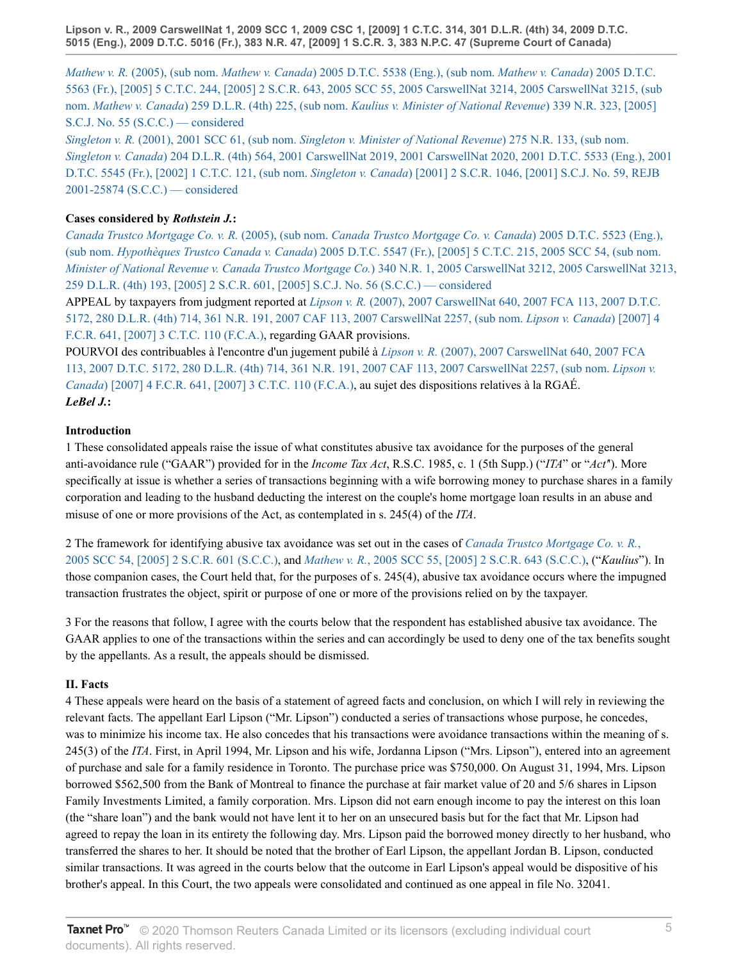*Mathew v. R.* (2005), (sub nom. *Mathew v. Canada*[\) 2005 D.T.C. 5538 \(Eng.\), \(sub nom.](http://v3.taxnetpro.com/Document/I8d7d9393941e5dece0440003ba833f85/View/FullText.html?originationContext=document&vr=3.0&rs=cblt1.0&transitionType=DocumentItem&contextData=(sc.Search)) *Mathew v. Canada*) 2005 D.T.C. [5563 \(Fr.\), \[2005\] 5 C.T.C. 244, \[2005\] 2 S.C.R. 643, 2005 SCC 55, 2005 CarswellNat 3214, 2005 CarswellNat 3215, \(sub](http://v3.taxnetpro.com/Document/I8d7d9393941e5dece0440003ba833f85/View/FullText.html?originationContext=document&vr=3.0&rs=cblt1.0&transitionType=DocumentItem&contextData=(sc.Search)) nom. *Mathew v. Canada*) 259 D.L.R. (4th) 225, (sub nom. *[Kaulius v. Minister of National Revenue](http://v3.taxnetpro.com/Document/I8d7d9393941e5dece0440003ba833f85/View/FullText.html?originationContext=document&vr=3.0&rs=cblt1.0&transitionType=DocumentItem&contextData=(sc.Search))*) 339 N.R. 323, [2005] [S.C.J. No. 55 \(S.C.C.\) — considered](http://v3.taxnetpro.com/Document/I8d7d9393941e5dece0440003ba833f85/View/FullText.html?originationContext=document&vr=3.0&rs=cblt1.0&transitionType=DocumentItem&contextData=(sc.Search))

*Singleton v. R.* (2001), 2001 SCC 61, (sub nom. *[Singleton v. Minister of National Revenue](http://v3.taxnetpro.com/Document/I8d7d9393e0df5dece0440003ba833f85/View/FullText.html?originationContext=document&vr=3.0&rs=cblt1.0&transitionType=DocumentItem&contextData=(sc.Search))*) 275 N.R. 133, (sub nom. *Singleton v. Canada*[\) 204 D.L.R. \(4th\) 564, 2001 CarswellNat 2019, 2001 CarswellNat 2020, 2001 D.T.C. 5533 \(Eng.\), 2001](http://v3.taxnetpro.com/Document/I8d7d9393e0df5dece0440003ba833f85/View/FullText.html?originationContext=document&vr=3.0&rs=cblt1.0&transitionType=DocumentItem&contextData=(sc.Search)) D.T.C. 5545 (Fr.), [2002] 1 C.T.C. 121, (sub nom. *Singleton v. Canada*[\) \[2001\] 2 S.C.R. 1046, \[2001\] S.C.J. No. 59, REJB](http://v3.taxnetpro.com/Document/I8d7d9393e0df5dece0440003ba833f85/View/FullText.html?originationContext=document&vr=3.0&rs=cblt1.0&transitionType=DocumentItem&contextData=(sc.Search)) [2001-25874 \(S.C.C.\) — considered](http://v3.taxnetpro.com/Document/I8d7d9393e0df5dece0440003ba833f85/View/FullText.html?originationContext=document&vr=3.0&rs=cblt1.0&transitionType=DocumentItem&contextData=(sc.Search))

# **Cases considered by** *Rothstein J.***:**

*Canada Trustco Mortgage Co. v. R.* (2005), (sub nom. *[Canada Trustco Mortgage Co. v. Canada](http://v3.taxnetpro.com/Document/I8d7d939394245dece0440003ba833f85/View/FullText.html?originationContext=document&vr=3.0&rs=cblt1.0&transitionType=DocumentItem&contextData=(sc.Search))*) 2005 D.T.C. 5523 (Eng.), (sub nom. *Hypothèques Trustco Canada v. Canada*[\) 2005 D.T.C. 5547 \(Fr.\), \[2005\] 5 C.T.C. 215, 2005 SCC 54, \(sub nom.](http://v3.taxnetpro.com/Document/I8d7d939394245dece0440003ba833f85/View/FullText.html?originationContext=document&vr=3.0&rs=cblt1.0&transitionType=DocumentItem&contextData=(sc.Search)) *[Minister of National Revenue v. Canada Trustco Mortgage Co.](http://v3.taxnetpro.com/Document/I8d7d939394245dece0440003ba833f85/View/FullText.html?originationContext=document&vr=3.0&rs=cblt1.0&transitionType=DocumentItem&contextData=(sc.Search))*) 340 N.R. 1, 2005 CarswellNat 3212, 2005 CarswellNat 3213, [259 D.L.R. \(4th\) 193, \[2005\] 2 S.C.R. 601, \[2005\] S.C.J. No. 56 \(S.C.C.\) — considered](http://v3.taxnetpro.com/Document/I8d7d939394245dece0440003ba833f85/View/FullText.html?originationContext=document&vr=3.0&rs=cblt1.0&transitionType=DocumentItem&contextData=(sc.Search))

APPEAL by taxpayers from judgment reported at *Lipson v. R.* [\(2007\), 2007 CarswellNat 640, 2007 FCA 113, 2007 D.T.C.](http://v3.taxnetpro.com/Document/I8d7d939373995dece0440003ba833f85/View/FullText.html?originationContext=document&vr=3.0&rs=cblt1.0&transitionType=DocumentItem&contextData=(sc.Search)) [5172, 280 D.L.R. \(4th\) 714, 361 N.R. 191, 2007 CAF 113, 2007 CarswellNat 2257, \(sub nom.](http://v3.taxnetpro.com/Document/I8d7d939373995dece0440003ba833f85/View/FullText.html?originationContext=document&vr=3.0&rs=cblt1.0&transitionType=DocumentItem&contextData=(sc.Search)) *Lipson v. Canada*) [2007] 4 [F.C.R. 641, \[2007\] 3 C.T.C. 110 \(F.C.A.\)](http://v3.taxnetpro.com/Document/I8d7d939373995dece0440003ba833f85/View/FullText.html?originationContext=document&vr=3.0&rs=cblt1.0&transitionType=DocumentItem&contextData=(sc.Search)), regarding GAAR provisions.

POURVOI des contribuables à l'encontre d'un jugement pubilé à *Lipson v. R.* [\(2007\), 2007 CarswellNat 640, 2007 FCA](http://v3.taxnetpro.com/Document/I8d7d939373995dece0440003ba833f85/View/FullText.html?originationContext=document&vr=3.0&rs=cblt1.0&transitionType=DocumentItem&contextData=(sc.Search)) [113, 2007 D.T.C. 5172, 280 D.L.R. \(4th\) 714, 361 N.R. 191, 2007 CAF 113, 2007 CarswellNat 2257, \(sub nom.](http://v3.taxnetpro.com/Document/I8d7d939373995dece0440003ba833f85/View/FullText.html?originationContext=document&vr=3.0&rs=cblt1.0&transitionType=DocumentItem&contextData=(sc.Search)) *Lipson v. Canada*[\) \[2007\] 4 F.C.R. 641, \[2007\] 3 C.T.C. 110 \(F.C.A.\),](http://v3.taxnetpro.com/Document/I8d7d939373995dece0440003ba833f85/View/FullText.html?originationContext=document&vr=3.0&rs=cblt1.0&transitionType=DocumentItem&contextData=(sc.Search)) au sujet des dispositions relatives à la RGAÉ. *LeBel J.***:**

# **Introduction**

1 These consolidated appeals raise the issue of what constitutes abusive tax avoidance for the purposes of the general anti-avoidance rule ("GAAR") provided for in the *Income Tax Act*, R.S.C. 1985, c. 1 (5th Supp.) ("*ITA*" or "*Act'*'). More specifically at issue is whether a series of transactions beginning with a wife borrowing money to purchase shares in a family corporation and leading to the husband deducting the interest on the couple's home mortgage loan results in an abuse and misuse of one or more provisions of the Act, as contemplated in s. 245(4) of the *ITA*.

2 The framework for identifying abusive tax avoidance was set out in the cases of *[Canada Trustco Mortgage Co. v. R.](http://v3.taxnetpro.com/Document/I8d7d939394245dece0440003ba833f85/View/FullText.html?originationContext=document&vr=3.0&rs=cblt1.0&transitionType=DocumentItem&contextData=(sc.Search))*, [2005 SCC 54, \[2005\] 2 S.C.R. 601 \(S.C.C.\),](http://v3.taxnetpro.com/Document/I8d7d939394245dece0440003ba833f85/View/FullText.html?originationContext=document&vr=3.0&rs=cblt1.0&transitionType=DocumentItem&contextData=(sc.Search)) and *Mathew v. R.*[, 2005 SCC 55, \[2005\] 2 S.C.R. 643 \(S.C.C.\),](http://v3.taxnetpro.com/Document/I8d7d9393941e5dece0440003ba833f85/View/FullText.html?originationContext=document&vr=3.0&rs=cblt1.0&transitionType=DocumentItem&contextData=(sc.Search)) ("*Kaulius*"). In those companion cases, the Court held that, for the purposes of s. 245(4), abusive tax avoidance occurs where the impugned transaction frustrates the object, spirit or purpose of one or more of the provisions relied on by the taxpayer.

3 For the reasons that follow, I agree with the courts below that the respondent has established abusive tax avoidance. The GAAR applies to one of the transactions within the series and can accordingly be used to deny one of the tax benefits sought by the appellants. As a result, the appeals should be dismissed.

#### **II. Facts**

4 These appeals were heard on the basis of a statement of agreed facts and conclusion, on which I will rely in reviewing the relevant facts. The appellant Earl Lipson ("Mr. Lipson") conducted a series of transactions whose purpose, he concedes, was to minimize his income tax. He also concedes that his transactions were avoidance transactions within the meaning of s. 245(3) of the *ITA*. First, in April 1994, Mr. Lipson and his wife, Jordanna Lipson ("Mrs. Lipson"), entered into an agreement of purchase and sale for a family residence in Toronto. The purchase price was \$750,000. On August 31, 1994, Mrs. Lipson borrowed \$562,500 from the Bank of Montreal to finance the purchase at fair market value of 20 and 5/6 shares in Lipson Family Investments Limited, a family corporation. Mrs. Lipson did not earn enough income to pay the interest on this loan (the "share loan") and the bank would not have lent it to her on an unsecured basis but for the fact that Mr. Lipson had agreed to repay the loan in its entirety the following day. Mrs. Lipson paid the borrowed money directly to her husband, who transferred the shares to her. It should be noted that the brother of Earl Lipson, the appellant Jordan B. Lipson, conducted similar transactions. It was agreed in the courts below that the outcome in Earl Lipson's appeal would be dispositive of his brother's appeal. In this Court, the two appeals were consolidated and continued as one appeal in file No. 32041.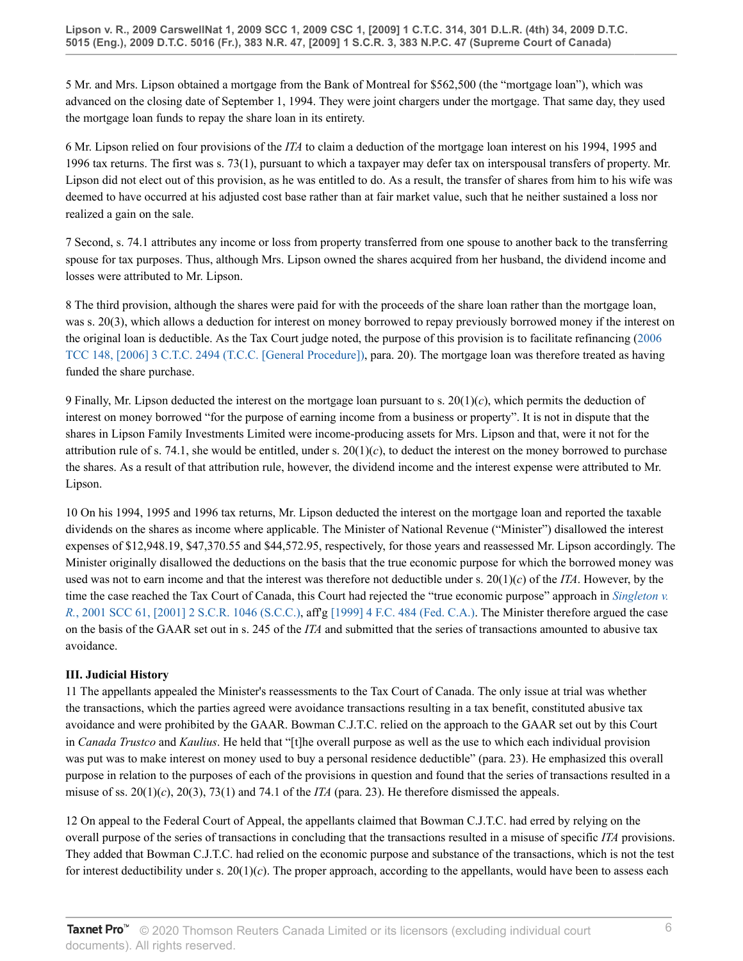5 Mr. and Mrs. Lipson obtained a mortgage from the Bank of Montreal for \$562,500 (the "mortgage loan"), which was advanced on the closing date of September 1, 1994. They were joint chargers under the mortgage. That same day, they used the mortgage loan funds to repay the share loan in its entirety.

6 Mr. Lipson relied on four provisions of the *ITA* to claim a deduction of the mortgage loan interest on his 1994, 1995 and 1996 tax returns. The first was s. 73(1), pursuant to which a taxpayer may defer tax on interspousal transfers of property. Mr. Lipson did not elect out of this provision, as he was entitled to do. As a result, the transfer of shares from him to his wife was deemed to have occurred at his adjusted cost base rather than at fair market value, such that he neither sustained a loss nor realized a gain on the sale.

7 Second, s. 74.1 attributes any income or loss from property transferred from one spouse to another back to the transferring spouse for tax purposes. Thus, although Mrs. Lipson owned the shares acquired from her husband, the dividend income and losses were attributed to Mr. Lipson.

8 The third provision, although the shares were paid for with the proceeds of the share loan rather than the mortgage loan, was s. 20(3), which allows a deduction for interest on money borrowed to repay previously borrowed money if the interest on the original loan is deductible. As the Tax Court judge noted, the purpose of this provision is to facilitate refinancing ([2006](http://v3.taxnetpro.com/Document/I8d7d939391ef5dece0440003ba833f85/View/FullText.html?originationContext=document&vr=3.0&rs=cblt1.0&transitionType=DocumentItem&contextData=(sc.Search)) [TCC 148, \[2006\] 3 C.T.C. 2494 \(T.C.C. \[General Procedure\]\)](http://v3.taxnetpro.com/Document/I8d7d939391ef5dece0440003ba833f85/View/FullText.html?originationContext=document&vr=3.0&rs=cblt1.0&transitionType=DocumentItem&contextData=(sc.Search)), para. 20). The mortgage loan was therefore treated as having funded the share purchase.

9 Finally, Mr. Lipson deducted the interest on the mortgage loan pursuant to s. 20(1)(*c*), which permits the deduction of interest on money borrowed "for the purpose of earning income from a business or property". It is not in dispute that the shares in Lipson Family Investments Limited were income-producing assets for Mrs. Lipson and that, were it not for the attribution rule of s. 74.1, she would be entitled, under s.  $20(1)(c)$ , to deduct the interest on the money borrowed to purchase the shares. As a result of that attribution rule, however, the dividend income and the interest expense were attributed to Mr. Lipson.

10 On his 1994, 1995 and 1996 tax returns, Mr. Lipson deducted the interest on the mortgage loan and reported the taxable dividends on the shares as income where applicable. The Minister of National Revenue ("Minister") disallowed the interest expenses of \$12,948.19, \$47,370.55 and \$44,572.95, respectively, for those years and reassessed Mr. Lipson accordingly. The Minister originally disallowed the deductions on the basis that the true economic purpose for which the borrowed money was used was not to earn income and that the interest was therefore not deductible under s. 20(1)(*c*) of the *ITA*. However, by the time the case reached the Tax Court of Canada, this Court had rejected the "true economic purpose" approach in *[Singleton v.](http://v3.taxnetpro.com/Document/I8d7d9393e0df5dece0440003ba833f85/View/FullText.html?originationContext=document&vr=3.0&rs=cblt1.0&transitionType=DocumentItem&contextData=(sc.Search)) R.*[, 2001 SCC 61, \[2001\] 2 S.C.R. 1046 \(S.C.C.\),](http://v3.taxnetpro.com/Document/I8d7d9393e0df5dece0440003ba833f85/View/FullText.html?originationContext=document&vr=3.0&rs=cblt1.0&transitionType=DocumentItem&contextData=(sc.Search)) aff'g [\[1999\] 4 F.C. 484 \(Fed. C.A.\)](http://v3.taxnetpro.com/Document/I8d7d9393fce25dece0440003ba833f85/View/FullText.html?originationContext=document&vr=3.0&rs=cblt1.0&transitionType=DocumentItem&contextData=(sc.Search)). The Minister therefore argued the case on the basis of the GAAR set out in s. 245 of the *ITA* and submitted that the series of transactions amounted to abusive tax avoidance.

# **III. Judicial History**

11 The appellants appealed the Minister's reassessments to the Tax Court of Canada. The only issue at trial was whether the transactions, which the parties agreed were avoidance transactions resulting in a tax benefit, constituted abusive tax avoidance and were prohibited by the GAAR. Bowman C.J.T.C. relied on the approach to the GAAR set out by this Court in *Canada Trustco* and *Kaulius*. He held that "[t]he overall purpose as well as the use to which each individual provision was put was to make interest on money used to buy a personal residence deductible" (para. 23). He emphasized this overall purpose in relation to the purposes of each of the provisions in question and found that the series of transactions resulted in a misuse of ss.  $20(1)(c)$ ,  $20(3)$ ,  $73(1)$  and  $74.1$  of the *ITA* (para. 23). He therefore dismissed the appeals.

12 On appeal to the Federal Court of Appeal, the appellants claimed that Bowman C.J.T.C. had erred by relying on the overall purpose of the series of transactions in concluding that the transactions resulted in a misuse of specific *ITA* provisions. They added that Bowman C.J.T.C. had relied on the economic purpose and substance of the transactions, which is not the test for interest deductibility under s.  $20(1)(c)$ . The proper approach, according to the appellants, would have been to assess each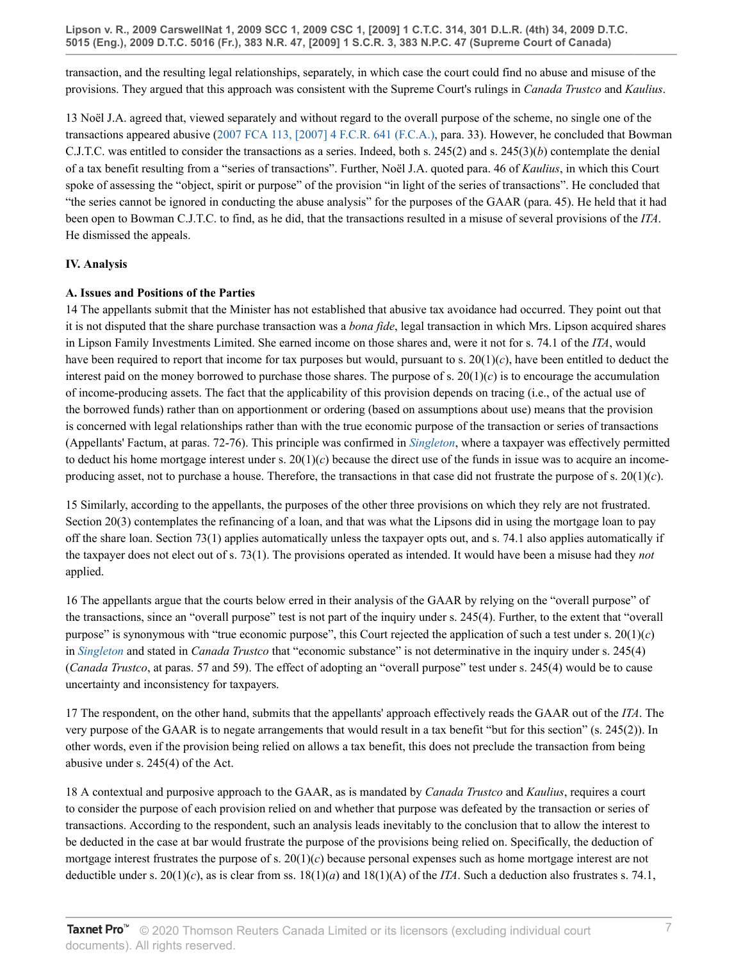transaction, and the resulting legal relationships, separately, in which case the court could find no abuse and misuse of the provisions. They argued that this approach was consistent with the Supreme Court's rulings in *Canada Trustco* and *Kaulius*.

13 Noël J.A. agreed that, viewed separately and without regard to the overall purpose of the scheme, no single one of the transactions appeared abusive [\(2007 FCA 113, \[2007\] 4 F.C.R. 641 \(F.C.A.\)](http://v3.taxnetpro.com/Document/I8d7d939373995dece0440003ba833f85/View/FullText.html?originationContext=document&vr=3.0&rs=cblt1.0&transitionType=DocumentItem&contextData=(sc.Search)), para. 33). However, he concluded that Bowman C.J.T.C. was entitled to consider the transactions as a series. Indeed, both s.  $245(2)$  and s.  $245(3)(b)$  contemplate the denial of a tax benefit resulting from a "series of transactions". Further, Noël J.A. quoted para. 46 of *Kaulius*, in which this Court spoke of assessing the "object, spirit or purpose" of the provision "in light of the series of transactions". He concluded that "the series cannot be ignored in conducting the abuse analysis" for the purposes of the GAAR (para. 45). He held that it had been open to Bowman C.J.T.C. to find, as he did, that the transactions resulted in a misuse of several provisions of the *ITA*. He dismissed the appeals.

#### **IV. Analysis**

#### **A. Issues and Positions of the Parties**

14 The appellants submit that the Minister has not established that abusive tax avoidance had occurred. They point out that it is not disputed that the share purchase transaction was a *bona fide*, legal transaction in which Mrs. Lipson acquired shares in Lipson Family Investments Limited. She earned income on those shares and, were it not for s. 74.1 of the *ITA*, would have been required to report that income for tax purposes but would, pursuant to s.  $20(1)(c)$ , have been entitled to deduct the interest paid on the money borrowed to purchase those shares. The purpose of s.  $20(1)(c)$  is to encourage the accumulation of income-producing assets. The fact that the applicability of this provision depends on tracing (i.e., of the actual use of the borrowed funds) rather than on apportionment or ordering (based on assumptions about use) means that the provision is concerned with legal relationships rather than with the true economic purpose of the transaction or series of transactions (Appellants' Factum, at paras. 72-76). This principle was confirmed in *[Singleton](http://v3.taxnetpro.com/Document/I8d7d9393e0df5dece0440003ba833f85/View/FullText.html?originationContext=document&vr=3.0&rs=cblt1.0&transitionType=DocumentItem&contextData=(sc.Search))*, where a taxpayer was effectively permitted to deduct his home mortgage interest under s.  $20(1)(c)$  because the direct use of the funds in issue was to acquire an incomeproducing asset, not to purchase a house. Therefore, the transactions in that case did not frustrate the purpose of s. 20(1)(*c*).

15 Similarly, according to the appellants, the purposes of the other three provisions on which they rely are not frustrated. Section 20(3) contemplates the refinancing of a loan, and that was what the Lipsons did in using the mortgage loan to pay off the share loan. Section 73(1) applies automatically unless the taxpayer opts out, and s. 74.1 also applies automatically if the taxpayer does not elect out of s. 73(1). The provisions operated as intended. It would have been a misuse had they *not* applied.

16 The appellants argue that the courts below erred in their analysis of the GAAR by relying on the "overall purpose" of the transactions, since an "overall purpose" test is not part of the inquiry under s. 245(4). Further, to the extent that "overall purpose" is synonymous with "true economic purpose", this Court rejected the application of such a test under s.  $20(1)(c)$ in *[Singleton](http://v3.taxnetpro.com/Document/I8d7d9393e0df5dece0440003ba833f85/View/FullText.html?originationContext=document&vr=3.0&rs=cblt1.0&transitionType=DocumentItem&contextData=(sc.Search))* and stated in *Canada Trustco* that "economic substance" is not determinative in the inquiry under s. 245(4) (*Canada Trustco*, at paras. 57 and 59). The effect of adopting an "overall purpose" test under s. 245(4) would be to cause uncertainty and inconsistency for taxpayers.

17 The respondent, on the other hand, submits that the appellants' approach effectively reads the GAAR out of the *ITA*. The very purpose of the GAAR is to negate arrangements that would result in a tax benefit "but for this section" (s. 245(2)). In other words, even if the provision being relied on allows a tax benefit, this does not preclude the transaction from being abusive under s. 245(4) of the Act.

18 A contextual and purposive approach to the GAAR, as is mandated by *Canada Trustco* and *Kaulius*, requires a court to consider the purpose of each provision relied on and whether that purpose was defeated by the transaction or series of transactions. According to the respondent, such an analysis leads inevitably to the conclusion that to allow the interest to be deducted in the case at bar would frustrate the purpose of the provisions being relied on. Specifically, the deduction of mortgage interest frustrates the purpose of s. 20(1)(*c*) because personal expenses such as home mortgage interest are not deductible under s. 20(1)(*c*), as is clear from ss. 18(1)(*a*) and 18(1)(A) of the *ITA*. Such a deduction also frustrates s. 74.1,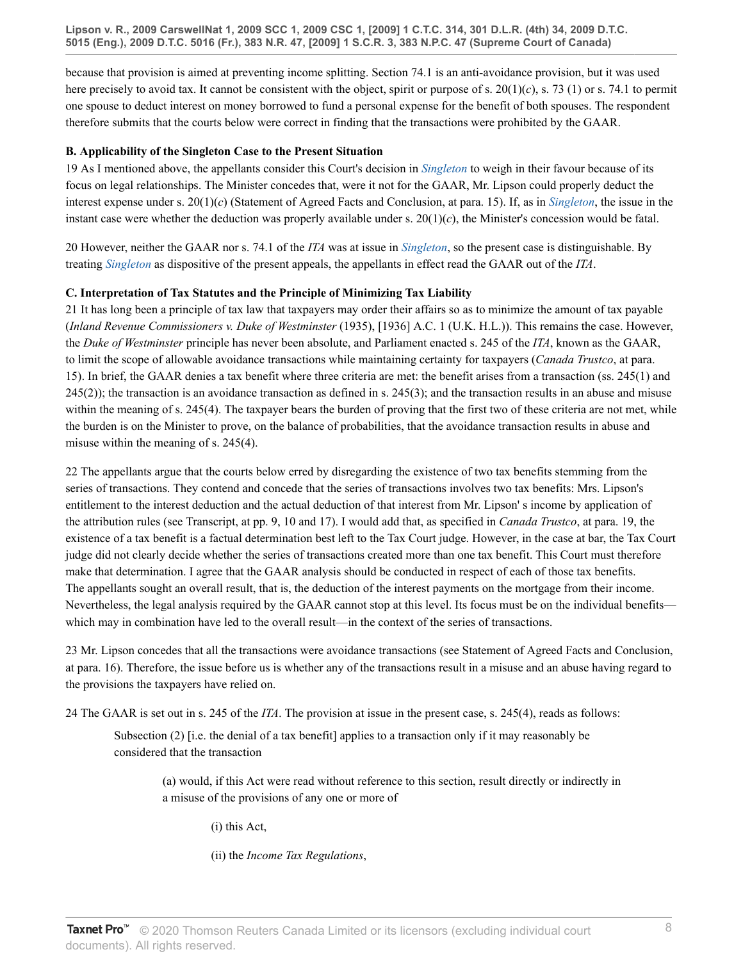because that provision is aimed at preventing income splitting. Section 74.1 is an anti-avoidance provision, but it was used here precisely to avoid tax. It cannot be consistent with the object, spirit or purpose of s. 20(1)(*c*), s. 73 (1) or s. 74.1 to permit one spouse to deduct interest on money borrowed to fund a personal expense for the benefit of both spouses. The respondent therefore submits that the courts below were correct in finding that the transactions were prohibited by the GAAR.

#### **B. Applicability of the Singleton Case to the Present Situation**

19 As I mentioned above, the appellants consider this Court's decision in *[Singleton](http://v3.taxnetpro.com/Document/I8d7d9393e0df5dece0440003ba833f85/View/FullText.html?originationContext=document&vr=3.0&rs=cblt1.0&transitionType=DocumentItem&contextData=(sc.Search))* to weigh in their favour because of its focus on legal relationships. The Minister concedes that, were it not for the GAAR, Mr. Lipson could properly deduct the interest expense under s. 20(1)(*c*) (Statement of Agreed Facts and Conclusion, at para. 15). If, as in *[Singleton](http://v3.taxnetpro.com/Document/I8d7d9393e0df5dece0440003ba833f85/View/FullText.html?originationContext=document&vr=3.0&rs=cblt1.0&transitionType=DocumentItem&contextData=(sc.Search))*, the issue in the instant case were whether the deduction was properly available under s. 20(1)(*c*), the Minister's concession would be fatal.

20 However, neither the GAAR nor s. 74.1 of the *ITA* was at issue in *[Singleton](http://v3.taxnetpro.com/Document/I8d7d9393e0df5dece0440003ba833f85/View/FullText.html?originationContext=document&vr=3.0&rs=cblt1.0&transitionType=DocumentItem&contextData=(sc.Search))*, so the present case is distinguishable. By treating *[Singleton](http://v3.taxnetpro.com/Document/I8d7d9393e0df5dece0440003ba833f85/View/FullText.html?originationContext=document&vr=3.0&rs=cblt1.0&transitionType=DocumentItem&contextData=(sc.Search))* as dispositive of the present appeals, the appellants in effect read the GAAR out of the *ITA*.

#### **C. Interpretation of Tax Statutes and the Principle of Minimizing Tax Liability**

21 It has long been a principle of tax law that taxpayers may order their affairs so as to minimize the amount of tax payable (*Inland Revenue Commissioners v. Duke of Westminster* (1935), [1936] A.C. 1 (U.K. H.L.)). This remains the case. However, the *Duke of Westminster* principle has never been absolute, and Parliament enacted s. 245 of the *ITA*, known as the GAAR, to limit the scope of allowable avoidance transactions while maintaining certainty for taxpayers (*Canada Trustco*, at para. 15). In brief, the GAAR denies a tax benefit where three criteria are met: the benefit arises from a transaction (ss. 245(1) and  $245(2)$ ; the transaction is an avoidance transaction as defined in s.  $245(3)$ ; and the transaction results in an abuse and misuse within the meaning of s. 245(4). The taxpayer bears the burden of proving that the first two of these criteria are not met, while the burden is on the Minister to prove, on the balance of probabilities, that the avoidance transaction results in abuse and misuse within the meaning of s. 245(4).

22 The appellants argue that the courts below erred by disregarding the existence of two tax benefits stemming from the series of transactions. They contend and concede that the series of transactions involves two tax benefits: Mrs. Lipson's entitlement to the interest deduction and the actual deduction of that interest from Mr. Lipson' s income by application of the attribution rules (see Transcript, at pp. 9, 10 and 17). I would add that, as specified in *Canada Trustco*, at para. 19, the existence of a tax benefit is a factual determination best left to the Tax Court judge. However, in the case at bar, the Tax Court judge did not clearly decide whether the series of transactions created more than one tax benefit. This Court must therefore make that determination. I agree that the GAAR analysis should be conducted in respect of each of those tax benefits. The appellants sought an overall result, that is, the deduction of the interest payments on the mortgage from their income. Nevertheless, the legal analysis required by the GAAR cannot stop at this level. Its focus must be on the individual benefits which may in combination have led to the overall result—in the context of the series of transactions.

23 Mr. Lipson concedes that all the transactions were avoidance transactions (see Statement of Agreed Facts and Conclusion, at para. 16). Therefore, the issue before us is whether any of the transactions result in a misuse and an abuse having regard to the provisions the taxpayers have relied on.

24 The GAAR is set out in s. 245 of the *ITA*. The provision at issue in the present case, s. 245(4), reads as follows:

Subsection (2) [i.e. the denial of a tax benefit] applies to a transaction only if it may reasonably be considered that the transaction

(a) would, if this Act were read without reference to this section, result directly or indirectly in a misuse of the provisions of any one or more of

(i) this Act,

(ii) the *Income Tax Regulations*,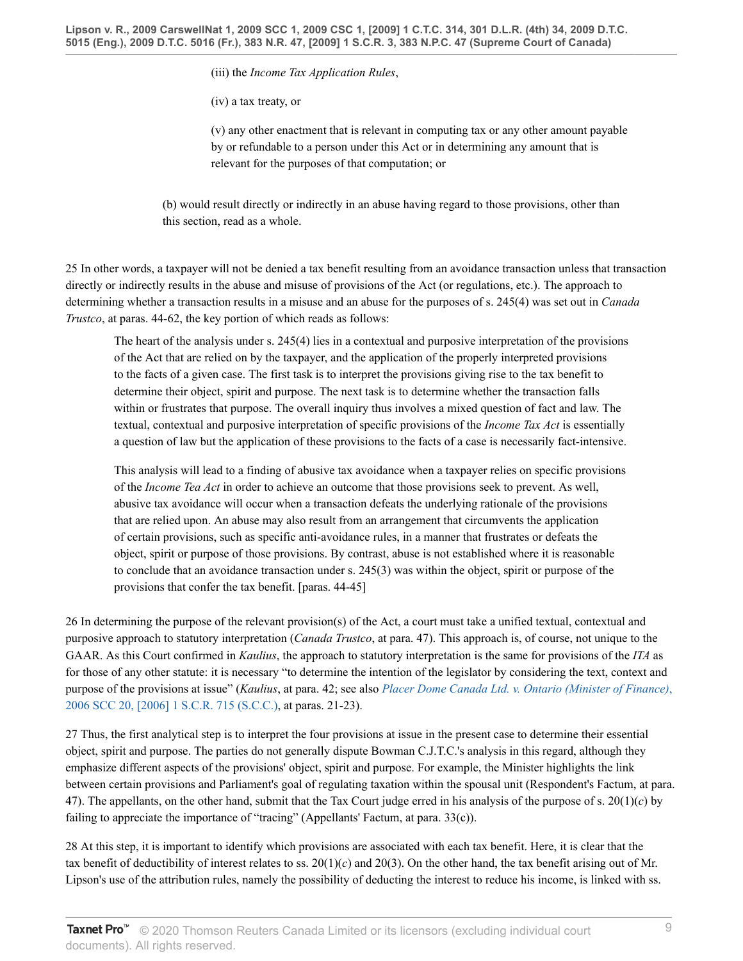(iii) the *Income Tax Application Rules*,

(iv) a tax treaty, or

(v) any other enactment that is relevant in computing tax or any other amount payable by or refundable to a person under this Act or in determining any amount that is relevant for the purposes of that computation; or

(b) would result directly or indirectly in an abuse having regard to those provisions, other than this section, read as a whole.

25 In other words, a taxpayer will not be denied a tax benefit resulting from an avoidance transaction unless that transaction directly or indirectly results in the abuse and misuse of provisions of the Act (or regulations, etc.). The approach to determining whether a transaction results in a misuse and an abuse for the purposes of s. 245(4) was set out in *Canada Trustco*, at paras. 44-62, the key portion of which reads as follows:

The heart of the analysis under s. 245(4) lies in a contextual and purposive interpretation of the provisions of the Act that are relied on by the taxpayer, and the application of the properly interpreted provisions to the facts of a given case. The first task is to interpret the provisions giving rise to the tax benefit to determine their object, spirit and purpose. The next task is to determine whether the transaction falls within or frustrates that purpose. The overall inquiry thus involves a mixed question of fact and law. The textual, contextual and purposive interpretation of specific provisions of the *Income Tax Act* is essentially a question of law but the application of these provisions to the facts of a case is necessarily fact-intensive.

This analysis will lead to a finding of abusive tax avoidance when a taxpayer relies on specific provisions of the *Income Tea Act* in order to achieve an outcome that those provisions seek to prevent. As well, abusive tax avoidance will occur when a transaction defeats the underlying rationale of the provisions that are relied upon. An abuse may also result from an arrangement that circumvents the application of certain provisions, such as specific anti-avoidance rules, in a manner that frustrates or defeats the object, spirit or purpose of those provisions. By contrast, abuse is not established where it is reasonable to conclude that an avoidance transaction under s. 245(3) was within the object, spirit or purpose of the provisions that confer the tax benefit. [paras. 44-45]

26 In determining the purpose of the relevant provision(s) of the Act, a court must take a unified textual, contextual and purposive approach to statutory interpretation (*Canada Trustco*, at para. 47). This approach is, of course, not unique to the GAAR. As this Court confirmed in *Kaulius*, the approach to statutory interpretation is the same for provisions of the *ITA* as for those of any other statute: it is necessary "to determine the intention of the legislator by considering the text, context and purpose of the provisions at issue" (*Kaulius*, at para. 42; see also *[Placer Dome Canada Ltd. v. Ontario \(Minister of Finance\)](http://v3.taxnetpro.com/Document/I8d8337a2d54a2030e0440003ba833f85/View/FullText.html?originationContext=document&vr=3.0&rs=cblt1.0&transitionType=DocumentItem&contextData=(sc.Search))*, [2006 SCC 20, \[2006\] 1 S.C.R. 715 \(S.C.C.\),](http://v3.taxnetpro.com/Document/I8d8337a2d54a2030e0440003ba833f85/View/FullText.html?originationContext=document&vr=3.0&rs=cblt1.0&transitionType=DocumentItem&contextData=(sc.Search)) at paras. 21-23).

27 Thus, the first analytical step is to interpret the four provisions at issue in the present case to determine their essential object, spirit and purpose. The parties do not generally dispute Bowman C.J.T.C.'s analysis in this regard, although they emphasize different aspects of the provisions' object, spirit and purpose. For example, the Minister highlights the link between certain provisions and Parliament's goal of regulating taxation within the spousal unit (Respondent's Factum, at para. 47). The appellants, on the other hand, submit that the Tax Court judge erred in his analysis of the purpose of s. 20(1)(*c*) by failing to appreciate the importance of "tracing" (Appellants' Factum, at para. 33(c)).

28 At this step, it is important to identify which provisions are associated with each tax benefit. Here, it is clear that the tax benefit of deductibility of interest relates to ss.  $20(1)(c)$  and  $20(3)$ . On the other hand, the tax benefit arising out of Mr. Lipson's use of the attribution rules, namely the possibility of deducting the interest to reduce his income, is linked with ss.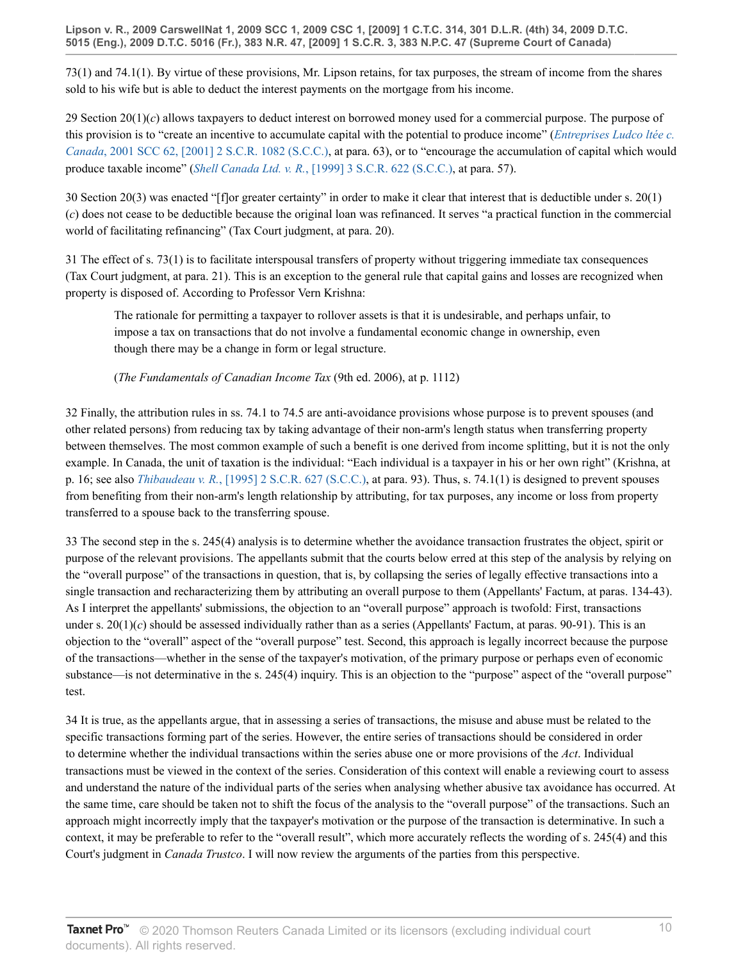73(1) and 74.1(1). By virtue of these provisions, Mr. Lipson retains, for tax purposes, the stream of income from the shares sold to his wife but is able to deduct the interest payments on the mortgage from his income.

29 Section 20(1)(*c*) allows taxpayers to deduct interest on borrowed money used for a commercial purpose. The purpose of this provision is to "create an incentive to accumulate capital with the potential to produce income" (*[Entreprises Ludco ltée c.](http://v3.taxnetpro.com/Document/I8d7d9393e0e55dece0440003ba833f85/View/FullText.html?originationContext=document&vr=3.0&rs=cblt1.0&transitionType=DocumentItem&contextData=(sc.Search)) Canada*[, 2001 SCC 62, \[2001\] 2 S.C.R. 1082 \(S.C.C.\),](http://v3.taxnetpro.com/Document/I8d7d9393e0e55dece0440003ba833f85/View/FullText.html?originationContext=document&vr=3.0&rs=cblt1.0&transitionType=DocumentItem&contextData=(sc.Search)) at para. 63), or to "encourage the accumulation of capital which would produce taxable income" (*Shell Canada Ltd. v. R.*[, \[1999\] 3 S.C.R. 622 \(S.C.C.\)](http://v3.taxnetpro.com/Document/I8d7d9393fbab5dece0440003ba833f85/View/FullText.html?originationContext=document&vr=3.0&rs=cblt1.0&transitionType=DocumentItem&contextData=(sc.Search)), at para. 57).

30 Section 20(3) was enacted "[f]or greater certainty" in order to make it clear that interest that is deductible under s. 20(1) (*c*) does not cease to be deductible because the original loan was refinanced. It serves "a practical function in the commercial world of facilitating refinancing" (Tax Court judgment, at para. 20).

31 The effect of s. 73(1) is to facilitate interspousal transfers of property without triggering immediate tax consequences (Tax Court judgment, at para. 21). This is an exception to the general rule that capital gains and losses are recognized when property is disposed of. According to Professor Vern Krishna:

The rationale for permitting a taxpayer to rollover assets is that it is undesirable, and perhaps unfair, to impose a tax on transactions that do not involve a fundamental economic change in ownership, even though there may be a change in form or legal structure.

(*The Fundamentals of Canadian Income Tax* (9th ed. 2006), at p. 1112)

32 Finally, the attribution rules in ss. 74.1 to 74.5 are anti-avoidance provisions whose purpose is to prevent spouses (and other related persons) from reducing tax by taking advantage of their non-arm's length status when transferring property between themselves. The most common example of such a benefit is one derived from income splitting, but it is not the only example. In Canada, the unit of taxation is the individual: "Each individual is a taxpayer in his or her own right" (Krishna, at p. 16; see also *Thibaudeau v. R.*[, \[1995\] 2 S.C.R. 627 \(S.C.C.\),](http://v3.taxnetpro.com/Document/I8d7d93942ad65dece0440003ba833f85/View/FullText.html?originationContext=document&vr=3.0&rs=cblt1.0&transitionType=DocumentItem&contextData=(sc.Search)) at para. 93). Thus, s. 74.1(1) is designed to prevent spouses from benefiting from their non-arm's length relationship by attributing, for tax purposes, any income or loss from property transferred to a spouse back to the transferring spouse.

33 The second step in the s. 245(4) analysis is to determine whether the avoidance transaction frustrates the object, spirit or purpose of the relevant provisions. The appellants submit that the courts below erred at this step of the analysis by relying on the "overall purpose" of the transactions in question, that is, by collapsing the series of legally effective transactions into a single transaction and recharacterizing them by attributing an overall purpose to them (Appellants' Factum, at paras. 134-43). As I interpret the appellants' submissions, the objection to an "overall purpose" approach is twofold: First, transactions under s. 20(1)(*c*) should be assessed individually rather than as a series (Appellants' Factum, at paras. 90-91). This is an objection to the "overall" aspect of the "overall purpose" test. Second, this approach is legally incorrect because the purpose of the transactions—whether in the sense of the taxpayer's motivation, of the primary purpose or perhaps even of economic substance—is not determinative in the s. 245(4) inquiry. This is an objection to the "purpose" aspect of the "overall purpose" test.

34 It is true, as the appellants argue, that in assessing a series of transactions, the misuse and abuse must be related to the specific transactions forming part of the series. However, the entire series of transactions should be considered in order to determine whether the individual transactions within the series abuse one or more provisions of the *Act*. Individual transactions must be viewed in the context of the series. Consideration of this context will enable a reviewing court to assess and understand the nature of the individual parts of the series when analysing whether abusive tax avoidance has occurred. At the same time, care should be taken not to shift the focus of the analysis to the "overall purpose" of the transactions. Such an approach might incorrectly imply that the taxpayer's motivation or the purpose of the transaction is determinative. In such a context, it may be preferable to refer to the "overall result", which more accurately reflects the wording of s. 245(4) and this Court's judgment in *Canada Trustco*. I will now review the arguments of the parties from this perspective.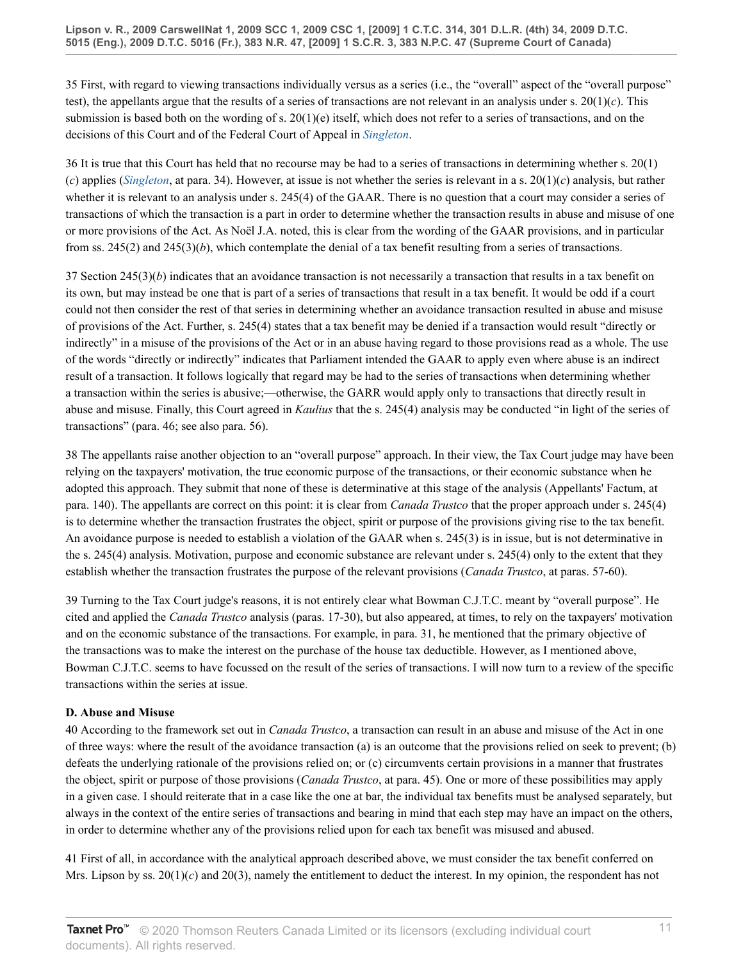35 First, with regard to viewing transactions individually versus as a series (i.e., the "overall" aspect of the "overall purpose" test), the appellants argue that the results of a series of transactions are not relevant in an analysis under s.  $20(1)(c)$ . This submission is based both on the wording of s. 20(1)(e) itself, which does not refer to a series of transactions, and on the decisions of this Court and of the Federal Court of Appeal in *[Singleton](http://v3.taxnetpro.com/Document/I8d7d9393e0df5dece0440003ba833f85/View/FullText.html?originationContext=document&vr=3.0&rs=cblt1.0&transitionType=DocumentItem&contextData=(sc.Search))*.

36 It is true that this Court has held that no recourse may be had to a series of transactions in determining whether s. 20(1) (*c*) applies (*[Singleton](http://v3.taxnetpro.com/Document/I8d7d9393e0df5dece0440003ba833f85/View/FullText.html?originationContext=document&vr=3.0&rs=cblt1.0&transitionType=DocumentItem&contextData=(sc.Search))*, at para. 34). However, at issue is not whether the series is relevant in a s. 20(1)(*c*) analysis, but rather whether it is relevant to an analysis under s. 245(4) of the GAAR. There is no question that a court may consider a series of transactions of which the transaction is a part in order to determine whether the transaction results in abuse and misuse of one or more provisions of the Act. As Noël J.A. noted, this is clear from the wording of the GAAR provisions, and in particular from ss. 245(2) and 245(3)(*b*), which contemplate the denial of a tax benefit resulting from a series of transactions.

37 Section  $245(3)(b)$  indicates that an avoidance transaction is not necessarily a transaction that results in a tax benefit on its own, but may instead be one that is part of a series of transactions that result in a tax benefit. It would be odd if a court could not then consider the rest of that series in determining whether an avoidance transaction resulted in abuse and misuse of provisions of the Act. Further, s. 245(4) states that a tax benefit may be denied if a transaction would result "directly or indirectly" in a misuse of the provisions of the Act or in an abuse having regard to those provisions read as a whole. The use of the words "directly or indirectly" indicates that Parliament intended the GAAR to apply even where abuse is an indirect result of a transaction. It follows logically that regard may be had to the series of transactions when determining whether a transaction within the series is abusive;—otherwise, the GARR would apply only to transactions that directly result in abuse and misuse. Finally, this Court agreed in *Kaulius* that the s. 245(4) analysis may be conducted "in light of the series of transactions" (para. 46; see also para. 56).

38 The appellants raise another objection to an "overall purpose" approach. In their view, the Tax Court judge may have been relying on the taxpayers' motivation, the true economic purpose of the transactions, or their economic substance when he adopted this approach. They submit that none of these is determinative at this stage of the analysis (Appellants' Factum, at para. 140). The appellants are correct on this point: it is clear from *Canada Trustco* that the proper approach under s. 245(4) is to determine whether the transaction frustrates the object, spirit or purpose of the provisions giving rise to the tax benefit. An avoidance purpose is needed to establish a violation of the GAAR when s. 245(3) is in issue, but is not determinative in the s. 245(4) analysis. Motivation, purpose and economic substance are relevant under s. 245(4) only to the extent that they establish whether the transaction frustrates the purpose of the relevant provisions (*Canada Trustco*, at paras. 57-60).

39 Turning to the Tax Court judge's reasons, it is not entirely clear what Bowman C.J.T.C. meant by "overall purpose". He cited and applied the *Canada Trustco* analysis (paras. 17-30), but also appeared, at times, to rely on the taxpayers' motivation and on the economic substance of the transactions. For example, in para. 31, he mentioned that the primary objective of the transactions was to make the interest on the purchase of the house tax deductible. However, as I mentioned above, Bowman C.J.T.C. seems to have focussed on the result of the series of transactions. I will now turn to a review of the specific transactions within the series at issue.

# **D. Abuse and Misuse**

40 According to the framework set out in *Canada Trustco*, a transaction can result in an abuse and misuse of the Act in one of three ways: where the result of the avoidance transaction (a) is an outcome that the provisions relied on seek to prevent; (b) defeats the underlying rationale of the provisions relied on; or (c) circumvents certain provisions in a manner that frustrates the object, spirit or purpose of those provisions (*Canada Trustco*, at para. 45). One or more of these possibilities may apply in a given case. I should reiterate that in a case like the one at bar, the individual tax benefits must be analysed separately, but always in the context of the entire series of transactions and bearing in mind that each step may have an impact on the others, in order to determine whether any of the provisions relied upon for each tax benefit was misused and abused.

41 First of all, in accordance with the analytical approach described above, we must consider the tax benefit conferred on Mrs. Lipson by ss. 20(1)(*c*) and 20(3), namely the entitlement to deduct the interest. In my opinion, the respondent has not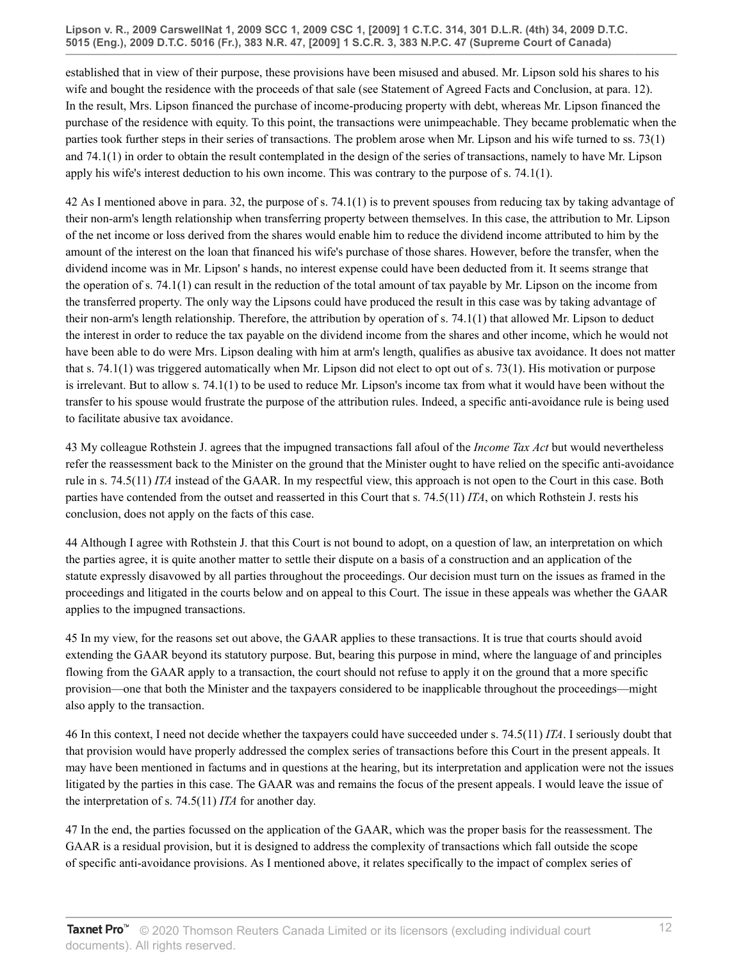established that in view of their purpose, these provisions have been misused and abused. Mr. Lipson sold his shares to his wife and bought the residence with the proceeds of that sale (see Statement of Agreed Facts and Conclusion, at para. 12). In the result, Mrs. Lipson financed the purchase of income-producing property with debt, whereas Mr. Lipson financed the purchase of the residence with equity. To this point, the transactions were unimpeachable. They became problematic when the parties took further steps in their series of transactions. The problem arose when Mr. Lipson and his wife turned to ss. 73(1) and 74.1(1) in order to obtain the result contemplated in the design of the series of transactions, namely to have Mr. Lipson apply his wife's interest deduction to his own income. This was contrary to the purpose of s. 74.1(1).

42 As I mentioned above in para. 32, the purpose of s. 74.1(1) is to prevent spouses from reducing tax by taking advantage of their non-arm's length relationship when transferring property between themselves. In this case, the attribution to Mr. Lipson of the net income or loss derived from the shares would enable him to reduce the dividend income attributed to him by the amount of the interest on the loan that financed his wife's purchase of those shares. However, before the transfer, when the dividend income was in Mr. Lipson' s hands, no interest expense could have been deducted from it. It seems strange that the operation of s. 74.1(1) can result in the reduction of the total amount of tax payable by Mr. Lipson on the income from the transferred property. The only way the Lipsons could have produced the result in this case was by taking advantage of their non-arm's length relationship. Therefore, the attribution by operation of s. 74.1(1) that allowed Mr. Lipson to deduct the interest in order to reduce the tax payable on the dividend income from the shares and other income, which he would not have been able to do were Mrs. Lipson dealing with him at arm's length, qualifies as abusive tax avoidance. It does not matter that s. 74.1(1) was triggered automatically when Mr. Lipson did not elect to opt out of s. 73(1). His motivation or purpose is irrelevant. But to allow s. 74.1(1) to be used to reduce Mr. Lipson's income tax from what it would have been without the transfer to his spouse would frustrate the purpose of the attribution rules. Indeed, a specific anti-avoidance rule is being used to facilitate abusive tax avoidance.

43 My colleague Rothstein J. agrees that the impugned transactions fall afoul of the *Income Tax Act* but would nevertheless refer the reassessment back to the Minister on the ground that the Minister ought to have relied on the specific anti-avoidance rule in s. 74.5(11) *ITA* instead of the GAAR. In my respectful view, this approach is not open to the Court in this case. Both parties have contended from the outset and reasserted in this Court that s. 74.5(11) *ITA*, on which Rothstein J. rests his conclusion, does not apply on the facts of this case.

44 Although I agree with Rothstein J. that this Court is not bound to adopt, on a question of law, an interpretation on which the parties agree, it is quite another matter to settle their dispute on a basis of a construction and an application of the statute expressly disavowed by all parties throughout the proceedings. Our decision must turn on the issues as framed in the proceedings and litigated in the courts below and on appeal to this Court. The issue in these appeals was whether the GAAR applies to the impugned transactions.

45 In my view, for the reasons set out above, the GAAR applies to these transactions. It is true that courts should avoid extending the GAAR beyond its statutory purpose. But, bearing this purpose in mind, where the language of and principles flowing from the GAAR apply to a transaction, the court should not refuse to apply it on the ground that a more specific provision—one that both the Minister and the taxpayers considered to be inapplicable throughout the proceedings—might also apply to the transaction.

46 In this context, I need not decide whether the taxpayers could have succeeded under s. 74.5(11) *ITA*. I seriously doubt that that provision would have properly addressed the complex series of transactions before this Court in the present appeals. It may have been mentioned in factums and in questions at the hearing, but its interpretation and application were not the issues litigated by the parties in this case. The GAAR was and remains the focus of the present appeals. I would leave the issue of the interpretation of s. 74.5(11) *ITA* for another day.

47 In the end, the parties focussed on the application of the GAAR, which was the proper basis for the reassessment. The GAAR is a residual provision, but it is designed to address the complexity of transactions which fall outside the scope of specific anti-avoidance provisions. As I mentioned above, it relates specifically to the impact of complex series of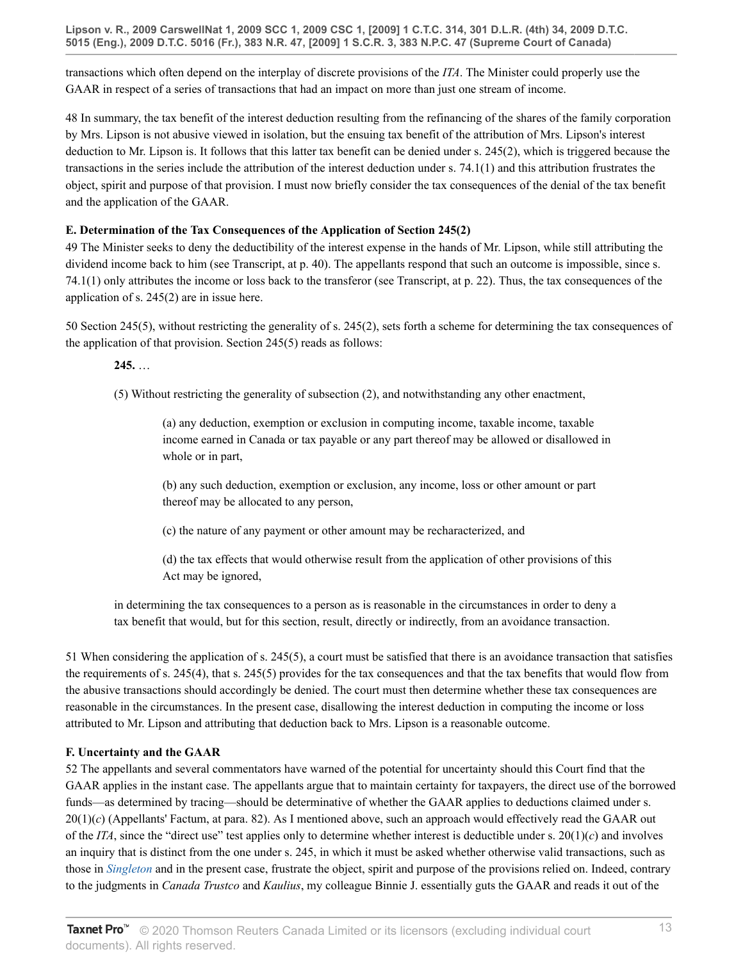**Lipson v. R., 2009 CarswellNat 1, 2009 SCC 1, 2009 CSC 1, [2009] 1 C.T.C. 314, 301 D.L.R. (4th) 34, 2009 D.T.C. 5015 (Eng.), 2009 D.T.C. 5016 (Fr.), 383 N.R. 47, [2009] 1 S.C.R. 3, 383 N.P.C. 47 (Supreme Court of Canada)**

transactions which often depend on the interplay of discrete provisions of the *ITA*. The Minister could properly use the GAAR in respect of a series of transactions that had an impact on more than just one stream of income.

48 In summary, the tax benefit of the interest deduction resulting from the refinancing of the shares of the family corporation by Mrs. Lipson is not abusive viewed in isolation, but the ensuing tax benefit of the attribution of Mrs. Lipson's interest deduction to Mr. Lipson is. It follows that this latter tax benefit can be denied under s. 245(2), which is triggered because the transactions in the series include the attribution of the interest deduction under s. 74.1(1) and this attribution frustrates the object, spirit and purpose of that provision. I must now briefly consider the tax consequences of the denial of the tax benefit and the application of the GAAR.

#### **E. Determination of the Tax Consequences of the Application of Section 245(2)**

49 The Minister seeks to deny the deductibility of the interest expense in the hands of Mr. Lipson, while still attributing the dividend income back to him (see Transcript, at p. 40). The appellants respond that such an outcome is impossible, since s. 74.1(1) only attributes the income or loss back to the transferor (see Transcript, at p. 22). Thus, the tax consequences of the application of s. 245(2) are in issue here.

50 Section 245(5), without restricting the generality of s. 245(2), sets forth a scheme for determining the tax consequences of the application of that provision. Section 245(5) reads as follows:

**245.** …

(5) Without restricting the generality of subsection (2), and notwithstanding any other enactment,

(a) any deduction, exemption or exclusion in computing income, taxable income, taxable income earned in Canada or tax payable or any part thereof may be allowed or disallowed in whole or in part,

(b) any such deduction, exemption or exclusion, any income, loss or other amount or part thereof may be allocated to any person,

(c) the nature of any payment or other amount may be recharacterized, and

(d) the tax effects that would otherwise result from the application of other provisions of this Act may be ignored,

in determining the tax consequences to a person as is reasonable in the circumstances in order to deny a tax benefit that would, but for this section, result, directly or indirectly, from an avoidance transaction.

51 When considering the application of s. 245(5), a court must be satisfied that there is an avoidance transaction that satisfies the requirements of s. 245(4), that s. 245(5) provides for the tax consequences and that the tax benefits that would flow from the abusive transactions should accordingly be denied. The court must then determine whether these tax consequences are reasonable in the circumstances. In the present case, disallowing the interest deduction in computing the income or loss attributed to Mr. Lipson and attributing that deduction back to Mrs. Lipson is a reasonable outcome.

# **F. Uncertainty and the GAAR**

52 The appellants and several commentators have warned of the potential for uncertainty should this Court find that the GAAR applies in the instant case. The appellants argue that to maintain certainty for taxpayers, the direct use of the borrowed funds—as determined by tracing—should be determinative of whether the GAAR applies to deductions claimed under s.  $20(1)(c)$  (Appellants' Factum, at para. 82). As I mentioned above, such an approach would effectively read the GAAR out of the *ITA*, since the "direct use" test applies only to determine whether interest is deductible under s. 20(1)(*c*) and involves an inquiry that is distinct from the one under s. 245, in which it must be asked whether otherwise valid transactions, such as those in *[Singleton](http://v3.taxnetpro.com/Document/I8d7d9393e0df5dece0440003ba833f85/View/FullText.html?originationContext=document&vr=3.0&rs=cblt1.0&transitionType=DocumentItem&contextData=(sc.Search))* and in the present case, frustrate the object, spirit and purpose of the provisions relied on. Indeed, contrary to the judgments in *Canada Trustco* and *Kaulius*, my colleague Binnie J. essentially guts the GAAR and reads it out of the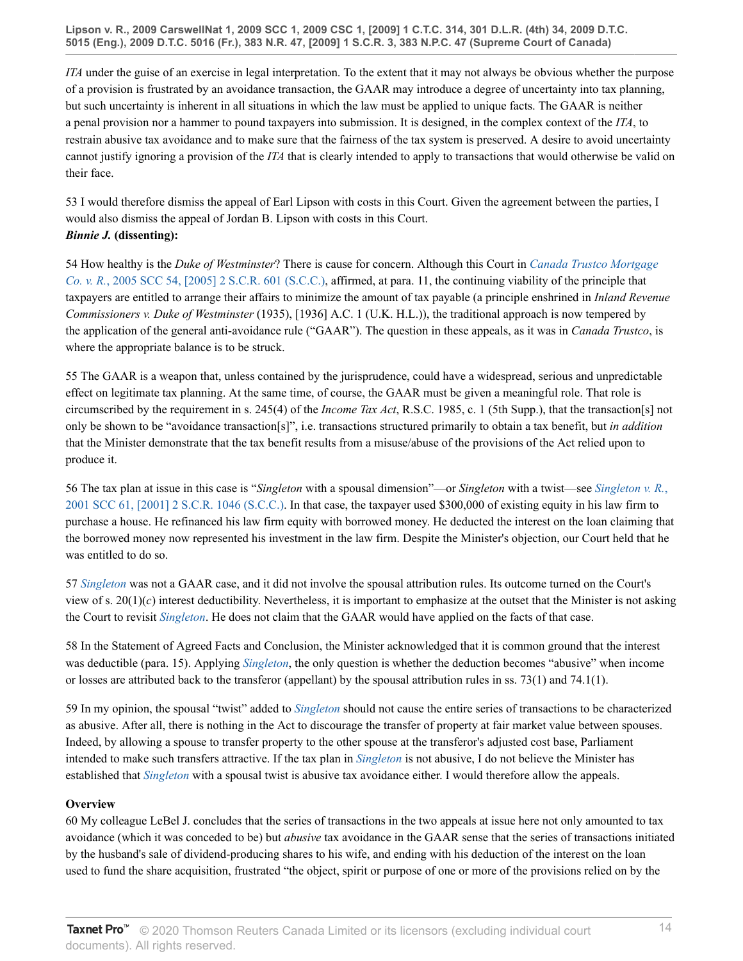*ITA* under the guise of an exercise in legal interpretation. To the extent that it may not always be obvious whether the purpose of a provision is frustrated by an avoidance transaction, the GAAR may introduce a degree of uncertainty into tax planning, but such uncertainty is inherent in all situations in which the law must be applied to unique facts. The GAAR is neither a penal provision nor a hammer to pound taxpayers into submission. It is designed, in the complex context of the *ITA*, to restrain abusive tax avoidance and to make sure that the fairness of the tax system is preserved. A desire to avoid uncertainty cannot justify ignoring a provision of the *ITA* that is clearly intended to apply to transactions that would otherwise be valid on their face.

53 I would therefore dismiss the appeal of Earl Lipson with costs in this Court. Given the agreement between the parties, I would also dismiss the appeal of Jordan B. Lipson with costs in this Court.

# *Binnie J.* **(dissenting):**

54 How healthy is the *Duke of Westminster*? There is cause for concern. Although this Court in *[Canada Trustco Mortgage](http://v3.taxnetpro.com/Document/I8d7d939394245dece0440003ba833f85/View/FullText.html?originationContext=document&vr=3.0&rs=cblt1.0&transitionType=DocumentItem&contextData=(sc.Search)) Co. v. R.*[, 2005 SCC 54, \[2005\] 2 S.C.R. 601 \(S.C.C.\),](http://v3.taxnetpro.com/Document/I8d7d939394245dece0440003ba833f85/View/FullText.html?originationContext=document&vr=3.0&rs=cblt1.0&transitionType=DocumentItem&contextData=(sc.Search)) affirmed, at para. 11, the continuing viability of the principle that taxpayers are entitled to arrange their affairs to minimize the amount of tax payable (a principle enshrined in *Inland Revenue Commissioners v. Duke of Westminster* (1935), [1936] A.C. 1 (U.K. H.L.)), the traditional approach is now tempered by the application of the general anti-avoidance rule ("GAAR"). The question in these appeals, as it was in *Canada Trustco*, is where the appropriate balance is to be struck.

55 The GAAR is a weapon that, unless contained by the jurisprudence, could have a widespread, serious and unpredictable effect on legitimate tax planning. At the same time, of course, the GAAR must be given a meaningful role. That role is circumscribed by the requirement in s. 245(4) of the *Income Tax Act*, R.S.C. 1985, c. 1 (5th Supp.), that the transaction[s] not only be shown to be "avoidance transaction[s]", i.e. transactions structured primarily to obtain a tax benefit, but *in addition* that the Minister demonstrate that the tax benefit results from a misuse/abuse of the provisions of the Act relied upon to produce it.

56 The tax plan at issue in this case is "*Singleton* with a spousal dimension"—or *Singleton* with a twist—see *[Singleton v. R.](http://v3.taxnetpro.com/Document/I8d7d9393e0df5dece0440003ba833f85/View/FullText.html?originationContext=document&vr=3.0&rs=cblt1.0&transitionType=DocumentItem&contextData=(sc.Search))*, [2001 SCC 61, \[2001\] 2 S.C.R. 1046 \(S.C.C.\).](http://v3.taxnetpro.com/Document/I8d7d9393e0df5dece0440003ba833f85/View/FullText.html?originationContext=document&vr=3.0&rs=cblt1.0&transitionType=DocumentItem&contextData=(sc.Search)) In that case, the taxpayer used \$300,000 of existing equity in his law firm to purchase a house. He refinanced his law firm equity with borrowed money. He deducted the interest on the loan claiming that the borrowed money now represented his investment in the law firm. Despite the Minister's objection, our Court held that he was entitled to do so.

57 *[Singleton](http://v3.taxnetpro.com/Document/I8d7d9393e0df5dece0440003ba833f85/View/FullText.html?originationContext=document&vr=3.0&rs=cblt1.0&transitionType=DocumentItem&contextData=(sc.Search))* was not a GAAR case, and it did not involve the spousal attribution rules. Its outcome turned on the Court's view of s.  $20(1)(c)$  interest deductibility. Nevertheless, it is important to emphasize at the outset that the Minister is not asking the Court to revisit *[Singleton](http://v3.taxnetpro.com/Document/I8d7d9393e0df5dece0440003ba833f85/View/FullText.html?originationContext=document&vr=3.0&rs=cblt1.0&transitionType=DocumentItem&contextData=(sc.Search))*. He does not claim that the GAAR would have applied on the facts of that case.

58 In the Statement of Agreed Facts and Conclusion, the Minister acknowledged that it is common ground that the interest was deductible (para. 15). Applying *[Singleton](http://v3.taxnetpro.com/Document/I8d7d9393e0df5dece0440003ba833f85/View/FullText.html?originationContext=document&vr=3.0&rs=cblt1.0&transitionType=DocumentItem&contextData=(sc.Search))*, the only question is whether the deduction becomes "abusive" when income or losses are attributed back to the transferor (appellant) by the spousal attribution rules in ss. 73(1) and 74.1(1).

59 In my opinion, the spousal "twist" added to *[Singleton](http://v3.taxnetpro.com/Document/I8d7d9393e0df5dece0440003ba833f85/View/FullText.html?originationContext=document&vr=3.0&rs=cblt1.0&transitionType=DocumentItem&contextData=(sc.Search))* should not cause the entire series of transactions to be characterized as abusive. After all, there is nothing in the Act to discourage the transfer of property at fair market value between spouses. Indeed, by allowing a spouse to transfer property to the other spouse at the transferor's adjusted cost base, Parliament intended to make such transfers attractive. If the tax plan in *[Singleton](http://v3.taxnetpro.com/Document/I8d7d9393e0df5dece0440003ba833f85/View/FullText.html?originationContext=document&vr=3.0&rs=cblt1.0&transitionType=DocumentItem&contextData=(sc.Search))* is not abusive, I do not believe the Minister has established that *[Singleton](http://v3.taxnetpro.com/Document/I8d7d9393e0df5dece0440003ba833f85/View/FullText.html?originationContext=document&vr=3.0&rs=cblt1.0&transitionType=DocumentItem&contextData=(sc.Search))* with a spousal twist is abusive tax avoidance either. I would therefore allow the appeals.

# **Overview**

60 My colleague LeBel J. concludes that the series of transactions in the two appeals at issue here not only amounted to tax avoidance (which it was conceded to be) but *abusive* tax avoidance in the GAAR sense that the series of transactions initiated by the husband's sale of dividend-producing shares to his wife, and ending with his deduction of the interest on the loan used to fund the share acquisition, frustrated "the object, spirit or purpose of one or more of the provisions relied on by the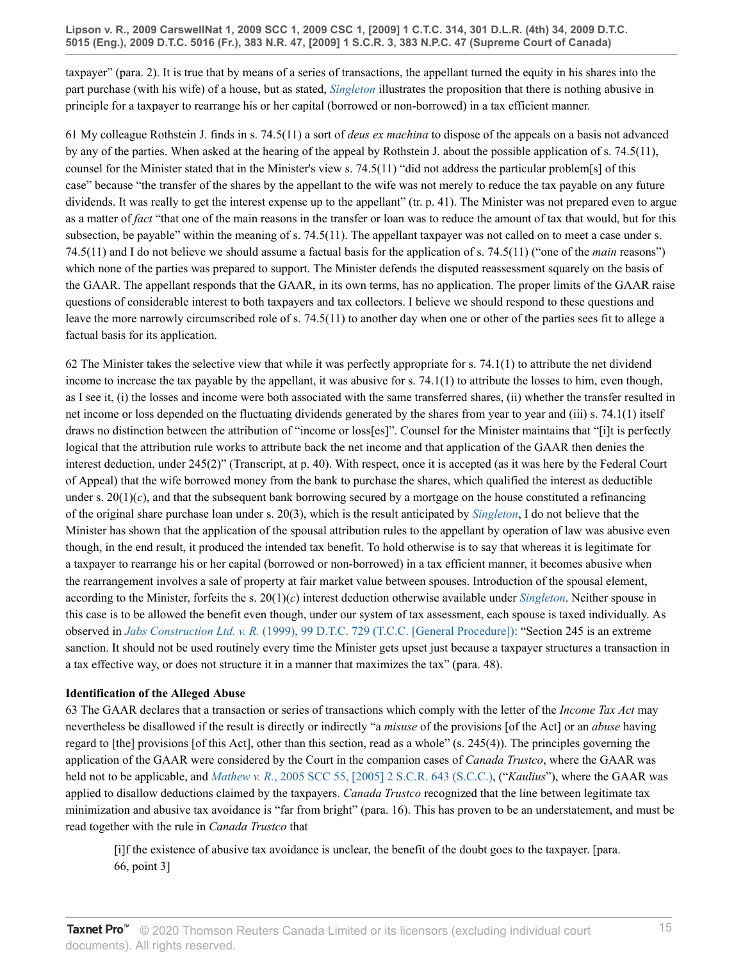taxpayer" (para. 2). It is true that by means of a series of transactions, the appellant turned the equity in his shares into the part purchase (with his wife) of a house, but as stated, *[Singleton](http://v3.taxnetpro.com/Document/I8d7d9393e0df5dece0440003ba833f85/View/FullText.html?originationContext=document&vr=3.0&rs=cblt1.0&transitionType=DocumentItem&contextData=(sc.Search))* illustrates the proposition that there is nothing abusive in principle for a taxpayer to rearrange his or her capital (borrowed or non-borrowed) in a tax efficient manner.

61 My colleague Rothstein J. finds in s. 74.5(11) a sort of *deus ex machina* to dispose of the appeals on a basis not advanced by any of the parties. When asked at the hearing of the appeal by Rothstein J. about the possible application of s. 74.5(11), counsel for the Minister stated that in the Minister's view s. 74.5(11) "did not address the particular problem[s] of this case" because "the transfer of the shares by the appellant to the wife was not merely to reduce the tax payable on any future dividends. It was really to get the interest expense up to the appellant" (tr. p. 41). The Minister was not prepared even to argue as a matter of *fact* "that one of the main reasons in the transfer or loan was to reduce the amount of tax that would, but for this subsection, be payable" within the meaning of s. 74.5(11). The appellant taxpayer was not called on to meet a case under s. 74.5(11) and I do not believe we should assume a factual basis for the application of s. 74.5(11) ("one of the *main* reasons") which none of the parties was prepared to support. The Minister defends the disputed reassessment squarely on the basis of the GAAR. The appellant responds that the GAAR, in its own terms, has no application. The proper limits of the GAAR raise questions of considerable interest to both taxpayers and tax collectors. I believe we should respond to these questions and leave the more narrowly circumscribed role of s. 74.5(11) to another day when one or other of the parties sees fit to allege a factual basis for its application.

62 The Minister takes the selective view that while it was perfectly appropriate for s. 74.1(1) to attribute the net dividend income to increase the tax payable by the appellant, it was abusive for s. 74.1(1) to attribute the losses to him, even though, as I see it, (i) the losses and income were both associated with the same transferred shares, (ii) whether the transfer resulted in net income or loss depended on the fluctuating dividends generated by the shares from year to year and (iii) s. 74.1(1) itself draws no distinction between the attribution of "income or loss[es]". Counsel for the Minister maintains that "[i]t is perfectly logical that the attribution rule works to attribute back the net income and that application of the GAAR then denies the interest deduction, under 245(2)" (Transcript, at p. 40). With respect, once it is accepted (as it was here by the Federal Court of Appeal) that the wife borrowed money from the bank to purchase the shares, which qualified the interest as deductible under s.  $20(1)(c)$ , and that the subsequent bank borrowing secured by a mortgage on the house constituted a refinancing of the original share purchase loan under s. 20(3), which is the result anticipated by *[Singleton](http://v3.taxnetpro.com/Document/I8d7d9393e0df5dece0440003ba833f85/View/FullText.html?originationContext=document&vr=3.0&rs=cblt1.0&transitionType=DocumentItem&contextData=(sc.Search))*, I do not believe that the Minister has shown that the application of the spousal attribution rules to the appellant by operation of law was abusive even though, in the end result, it produced the intended tax benefit. To hold otherwise is to say that whereas it is legitimate for a taxpayer to rearrange his or her capital (borrowed or non-borrowed) in a tax efficient manner, it becomes abusive when the rearrangement involves a sale of property at fair market value between spouses. Introduction of the spousal element, according to the Minister, forfeits the s. 20(1)(*c*) interest deduction otherwise available under *[Singleton](http://v3.taxnetpro.com/Document/I8d7d9393e0df5dece0440003ba833f85/View/FullText.html?originationContext=document&vr=3.0&rs=cblt1.0&transitionType=DocumentItem&contextData=(sc.Search))*. Neither spouse in this case is to be allowed the benefit even though, under our system of tax assessment, each spouse is taxed individually. As observed in *Jabs Construction Ltd. v. R.* [\(1999\), 99 D.T.C. 729 \(T.C.C. \[General Procedure\]\):](http://v3.taxnetpro.com/Document/I8d7d9394045a5dece0440003ba833f85/View/FullText.html?originationContext=document&vr=3.0&rs=cblt1.0&transitionType=DocumentItem&contextData=(sc.Search)) "Section 245 is an extreme sanction. It should not be used routinely every time the Minister gets upset just because a taxpayer structures a transaction in a tax effective way, or does not structure it in a manner that maximizes the tax" (para. 48).

#### **Identification of the Alleged Abuse**

63 The GAAR declares that a transaction or series of transactions which comply with the letter of the *Income Tax Act* may nevertheless be disallowed if the result is directly or indirectly "a *misuse* of the provisions [of the Act] or an *abuse* having regard to [the] provisions [of this Act], other than this section, read as a whole" (s. 245(4)). The principles governing the application of the GAAR were considered by the Court in the companion cases of *Canada Trustco*, where the GAAR was held not to be applicable, and *Mathew v. R.*[, 2005 SCC 55, \[2005\] 2 S.C.R. 643 \(S.C.C.\)](http://v3.taxnetpro.com/Document/I8d7d9393941e5dece0440003ba833f85/View/FullText.html?originationContext=document&vr=3.0&rs=cblt1.0&transitionType=DocumentItem&contextData=(sc.Search)), ("*Kaulius*"), where the GAAR was applied to disallow deductions claimed by the taxpayers. *Canada Trustco* recognized that the line between legitimate tax minimization and abusive tax avoidance is "far from bright" (para. 16). This has proven to be an understatement, and must be read together with the rule in *Canada Trustco* that

[i]f the existence of abusive tax avoidance is unclear, the benefit of the doubt goes to the taxpayer. [para. 66, point 3]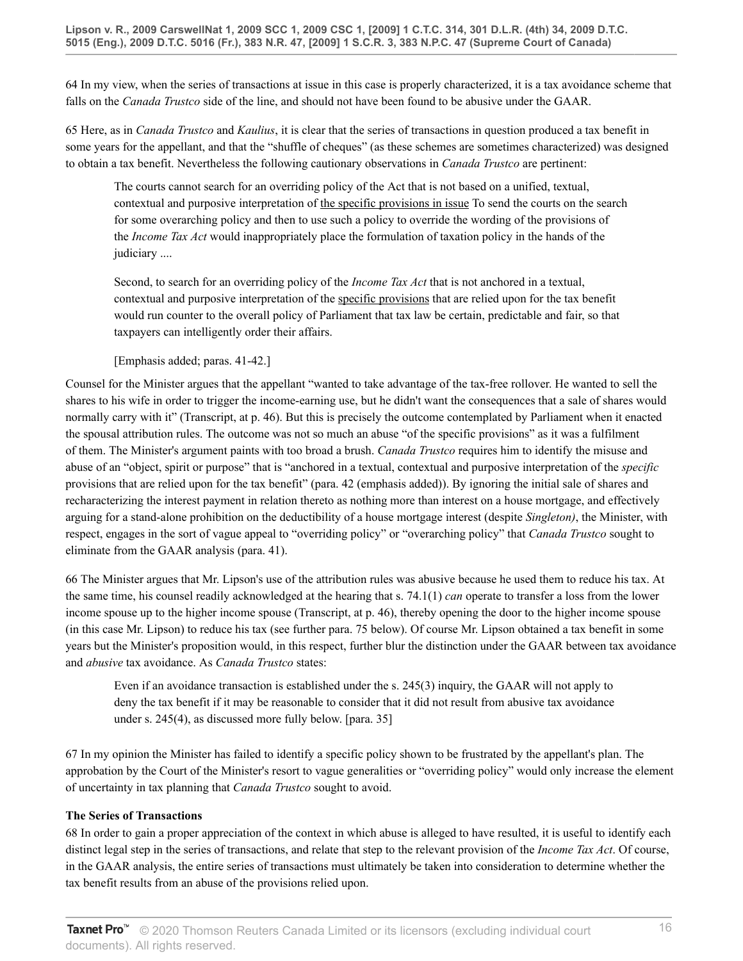64 In my view, when the series of transactions at issue in this case is properly characterized, it is a tax avoidance scheme that falls on the *Canada Trustco* side of the line, and should not have been found to be abusive under the GAAR.

65 Here, as in *Canada Trustco* and *Kaulius*, it is clear that the series of transactions in question produced a tax benefit in some years for the appellant, and that the "shuffle of cheques" (as these schemes are sometimes characterized) was designed to obtain a tax benefit. Nevertheless the following cautionary observations in *Canada Trustco* are pertinent:

The courts cannot search for an overriding policy of the Act that is not based on a unified, textual, contextual and purposive interpretation of the specific provisions in issue To send the courts on the search for some overarching policy and then to use such a policy to override the wording of the provisions of the *Income Tax Act* would inappropriately place the formulation of taxation policy in the hands of the judiciary ....

Second, to search for an overriding policy of the *Income Tax Act* that is not anchored in a textual, contextual and purposive interpretation of the specific provisions that are relied upon for the tax benefit would run counter to the overall policy of Parliament that tax law be certain, predictable and fair, so that taxpayers can intelligently order their affairs.

[Emphasis added; paras. 41-42.]

Counsel for the Minister argues that the appellant "wanted to take advantage of the tax-free rollover. He wanted to sell the shares to his wife in order to trigger the income-earning use, but he didn't want the consequences that a sale of shares would normally carry with it" (Transcript, at p. 46). But this is precisely the outcome contemplated by Parliament when it enacted the spousal attribution rules. The outcome was not so much an abuse "of the specific provisions" as it was a fulfilment of them. The Minister's argument paints with too broad a brush. *Canada Trustco* requires him to identify the misuse and abuse of an "object, spirit or purpose" that is "anchored in a textual, contextual and purposive interpretation of the *specific* provisions that are relied upon for the tax benefit" (para. 42 (emphasis added)). By ignoring the initial sale of shares and recharacterizing the interest payment in relation thereto as nothing more than interest on a house mortgage, and effectively arguing for a stand-alone prohibition on the deductibility of a house mortgage interest (despite *Singleton)*, the Minister, with respect, engages in the sort of vague appeal to "overriding policy" or "overarching policy" that *Canada Trustco* sought to eliminate from the GAAR analysis (para. 41).

66 The Minister argues that Mr. Lipson's use of the attribution rules was abusive because he used them to reduce his tax. At the same time, his counsel readily acknowledged at the hearing that s. 74.1(1) *can* operate to transfer a loss from the lower income spouse up to the higher income spouse (Transcript, at p. 46), thereby opening the door to the higher income spouse (in this case Mr. Lipson) to reduce his tax (see further para. 75 below). Of course Mr. Lipson obtained a tax benefit in some years but the Minister's proposition would, in this respect, further blur the distinction under the GAAR between tax avoidance and *abusive* tax avoidance. As *Canada Trustco* states:

Even if an avoidance transaction is established under the s. 245(3) inquiry, the GAAR will not apply to deny the tax benefit if it may be reasonable to consider that it did not result from abusive tax avoidance under s. 245(4), as discussed more fully below. [para. 35]

67 In my opinion the Minister has failed to identify a specific policy shown to be frustrated by the appellant's plan. The approbation by the Court of the Minister's resort to vague generalities or "overriding policy" would only increase the element of uncertainty in tax planning that *Canada Trustco* sought to avoid.

# **The Series of Transactions**

68 In order to gain a proper appreciation of the context in which abuse is alleged to have resulted, it is useful to identify each distinct legal step in the series of transactions, and relate that step to the relevant provision of the *Income Tax Act*. Of course, in the GAAR analysis, the entire series of transactions must ultimately be taken into consideration to determine whether the tax benefit results from an abuse of the provisions relied upon.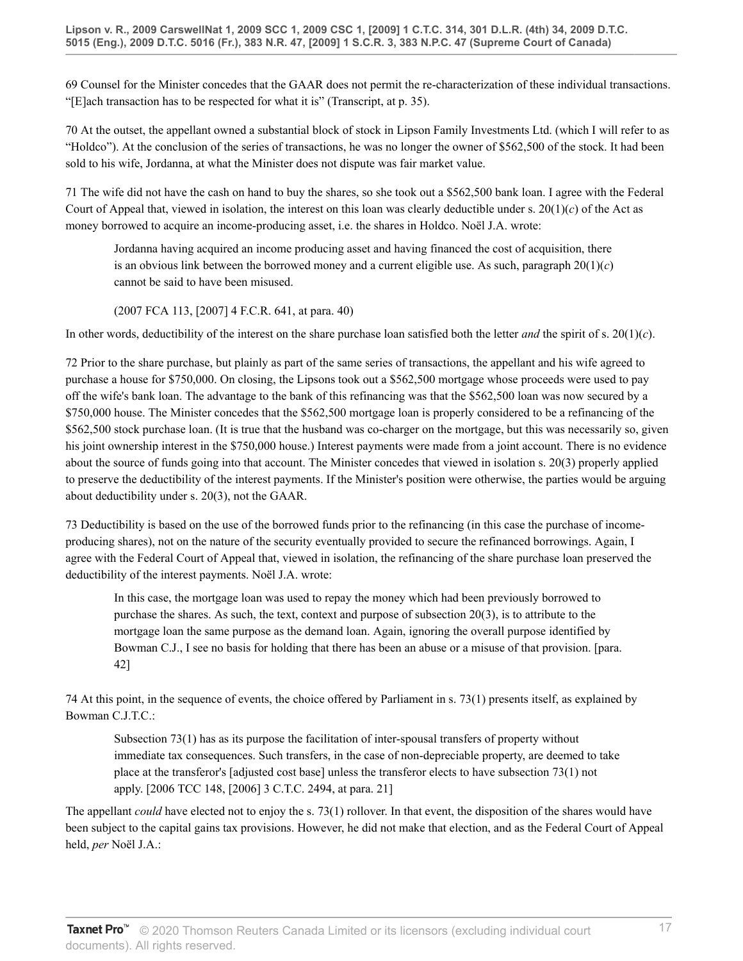69 Counsel for the Minister concedes that the GAAR does not permit the re-characterization of these individual transactions. "[E]ach transaction has to be respected for what it is" (Transcript, at p. 35).

70 At the outset, the appellant owned a substantial block of stock in Lipson Family Investments Ltd. (which I will refer to as "Holdco"). At the conclusion of the series of transactions, he was no longer the owner of \$562,500 of the stock. It had been sold to his wife, Jordanna, at what the Minister does not dispute was fair market value.

71 The wife did not have the cash on hand to buy the shares, so she took out a \$562,500 bank loan. I agree with the Federal Court of Appeal that, viewed in isolation, the interest on this loan was clearly deductible under s.  $20(1)(c)$  of the Act as money borrowed to acquire an income-producing asset, i.e. the shares in Holdco. Noël J.A. wrote:

Jordanna having acquired an income producing asset and having financed the cost of acquisition, there is an obvious link between the borrowed money and a current eligible use. As such, paragraph  $20(1)(c)$ cannot be said to have been misused.

(2007 FCA 113, [2007] 4 F.C.R. 641, at para. 40)

In other words, deductibility of the interest on the share purchase loan satisfied both the letter *and* the spirit of s. 20(1)(*c*).

72 Prior to the share purchase, but plainly as part of the same series of transactions, the appellant and his wife agreed to purchase a house for \$750,000. On closing, the Lipsons took out a \$562,500 mortgage whose proceeds were used to pay off the wife's bank loan. The advantage to the bank of this refinancing was that the \$562,500 loan was now secured by a \$750,000 house. The Minister concedes that the \$562,500 mortgage loan is properly considered to be a refinancing of the \$562,500 stock purchase loan. (It is true that the husband was co-charger on the mortgage, but this was necessarily so, given his joint ownership interest in the \$750,000 house.) Interest payments were made from a joint account. There is no evidence about the source of funds going into that account. The Minister concedes that viewed in isolation s. 20(3) properly applied to preserve the deductibility of the interest payments. If the Minister's position were otherwise, the parties would be arguing about deductibility under s. 20(3), not the GAAR.

73 Deductibility is based on the use of the borrowed funds prior to the refinancing (in this case the purchase of incomeproducing shares), not on the nature of the security eventually provided to secure the refinanced borrowings. Again, I agree with the Federal Court of Appeal that, viewed in isolation, the refinancing of the share purchase loan preserved the deductibility of the interest payments. Noël J.A. wrote:

In this case, the mortgage loan was used to repay the money which had been previously borrowed to purchase the shares. As such, the text, context and purpose of subsection 20(3), is to attribute to the mortgage loan the same purpose as the demand loan. Again, ignoring the overall purpose identified by Bowman C.J., I see no basis for holding that there has been an abuse or a misuse of that provision. [para. 42]

74 At this point, in the sequence of events, the choice offered by Parliament in s. 73(1) presents itself, as explained by Bowman C.J.T.C.:

Subsection 73(1) has as its purpose the facilitation of inter-spousal transfers of property without immediate tax consequences. Such transfers, in the case of non-depreciable property, are deemed to take place at the transferor's [adjusted cost base] unless the transferor elects to have subsection 73(1) not apply. [2006 TCC 148, [2006] 3 C.T.C. 2494, at para. 21]

The appellant *could* have elected not to enjoy the s. 73(1) rollover. In that event, the disposition of the shares would have been subject to the capital gains tax provisions. However, he did not make that election, and as the Federal Court of Appeal held, *per* Noël J.A.: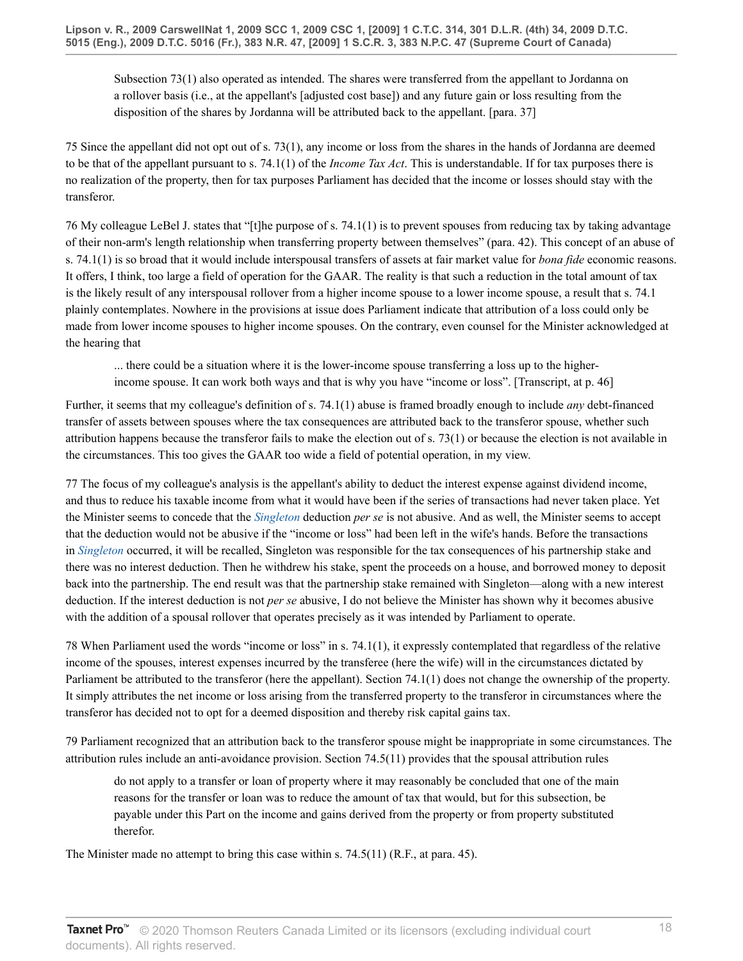Subsection 73(1) also operated as intended. The shares were transferred from the appellant to Jordanna on a rollover basis (i.e., at the appellant's [adjusted cost base]) and any future gain or loss resulting from the disposition of the shares by Jordanna will be attributed back to the appellant. [para. 37]

75 Since the appellant did not opt out of s. 73(1), any income or loss from the shares in the hands of Jordanna are deemed to be that of the appellant pursuant to s. 74.1(1) of the *Income Tax Act*. This is understandable. If for tax purposes there is no realization of the property, then for tax purposes Parliament has decided that the income or losses should stay with the transferor.

76 My colleague LeBel J. states that "[t]he purpose of s. 74.1(1) is to prevent spouses from reducing tax by taking advantage of their non-arm's length relationship when transferring property between themselves" (para. 42). This concept of an abuse of s. 74.1(1) is so broad that it would include interspousal transfers of assets at fair market value for *bona fide* economic reasons. It offers, I think, too large a field of operation for the GAAR. The reality is that such a reduction in the total amount of tax is the likely result of any interspousal rollover from a higher income spouse to a lower income spouse, a result that s. 74.1 plainly contemplates. Nowhere in the provisions at issue does Parliament indicate that attribution of a loss could only be made from lower income spouses to higher income spouses. On the contrary, even counsel for the Minister acknowledged at the hearing that

... there could be a situation where it is the lower-income spouse transferring a loss up to the higherincome spouse. It can work both ways and that is why you have "income or loss". [Transcript, at p. 46]

Further, it seems that my colleague's definition of s. 74.1(1) abuse is framed broadly enough to include *any* debt-financed transfer of assets between spouses where the tax consequences are attributed back to the transferor spouse, whether such attribution happens because the transferor fails to make the election out of s. 73(1) or because the election is not available in the circumstances. This too gives the GAAR too wide a field of potential operation, in my view.

77 The focus of my colleague's analysis is the appellant's ability to deduct the interest expense against dividend income, and thus to reduce his taxable income from what it would have been if the series of transactions had never taken place. Yet the Minister seems to concede that the *[Singleton](http://v3.taxnetpro.com/Document/I8d7d9393e0df5dece0440003ba833f85/View/FullText.html?originationContext=document&vr=3.0&rs=cblt1.0&transitionType=DocumentItem&contextData=(sc.Search))* deduction *per se* is not abusive. And as well, the Minister seems to accept that the deduction would not be abusive if the "income or loss" had been left in the wife's hands. Before the transactions in *[Singleton](http://v3.taxnetpro.com/Document/I8d7d9393e0df5dece0440003ba833f85/View/FullText.html?originationContext=document&vr=3.0&rs=cblt1.0&transitionType=DocumentItem&contextData=(sc.Search))* occurred, it will be recalled, Singleton was responsible for the tax consequences of his partnership stake and there was no interest deduction. Then he withdrew his stake, spent the proceeds on a house, and borrowed money to deposit back into the partnership. The end result was that the partnership stake remained with Singleton—along with a new interest deduction. If the interest deduction is not *per se* abusive, I do not believe the Minister has shown why it becomes abusive with the addition of a spousal rollover that operates precisely as it was intended by Parliament to operate.

78 When Parliament used the words "income or loss" in s. 74.1(1), it expressly contemplated that regardless of the relative income of the spouses, interest expenses incurred by the transferee (here the wife) will in the circumstances dictated by Parliament be attributed to the transferor (here the appellant). Section 74.1(1) does not change the ownership of the property. It simply attributes the net income or loss arising from the transferred property to the transferor in circumstances where the transferor has decided not to opt for a deemed disposition and thereby risk capital gains tax.

79 Parliament recognized that an attribution back to the transferor spouse might be inappropriate in some circumstances. The attribution rules include an anti-avoidance provision. Section 74.5(11) provides that the spousal attribution rules

do not apply to a transfer or loan of property where it may reasonably be concluded that one of the main reasons for the transfer or loan was to reduce the amount of tax that would, but for this subsection, be payable under this Part on the income and gains derived from the property or from property substituted therefor.

The Minister made no attempt to bring this case within s. 74.5(11) (R.F., at para. 45).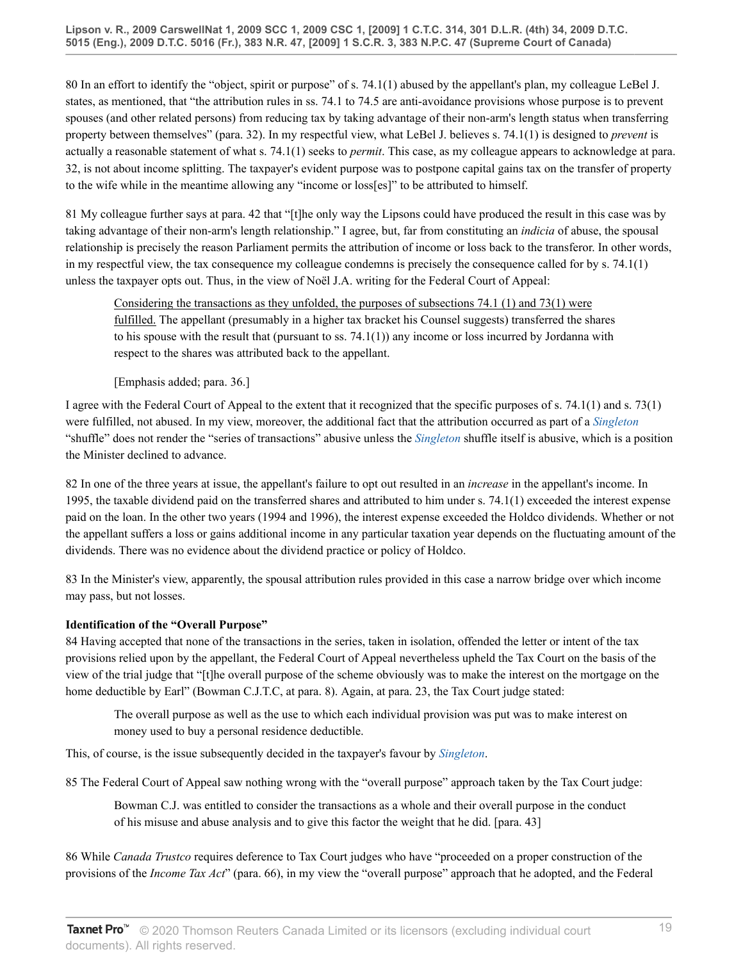80 In an effort to identify the "object, spirit or purpose" of s. 74.1(1) abused by the appellant's plan, my colleague LeBel J. states, as mentioned, that "the attribution rules in ss. 74.1 to 74.5 are anti-avoidance provisions whose purpose is to prevent spouses (and other related persons) from reducing tax by taking advantage of their non-arm's length status when transferring property between themselves" (para. 32). In my respectful view, what LeBel J. believes s. 74.1(1) is designed to *prevent* is actually a reasonable statement of what s. 74.1(1) seeks to *permit*. This case, as my colleague appears to acknowledge at para. 32, is not about income splitting. The taxpayer's evident purpose was to postpone capital gains tax on the transfer of property to the wife while in the meantime allowing any "income or loss[es]" to be attributed to himself.

81 My colleague further says at para. 42 that "[t]he only way the Lipsons could have produced the result in this case was by taking advantage of their non-arm's length relationship." I agree, but, far from constituting an *indicia* of abuse, the spousal relationship is precisely the reason Parliament permits the attribution of income or loss back to the transferor. In other words, in my respectful view, the tax consequence my colleague condemns is precisely the consequence called for by s. 74.1(1) unless the taxpayer opts out. Thus, in the view of Noël J.A. writing for the Federal Court of Appeal:

Considering the transactions as they unfolded, the purposes of subsections 74.1 (1) and 73(1) were fulfilled. The appellant (presumably in a higher tax bracket his Counsel suggests) transferred the shares to his spouse with the result that (pursuant to ss. 74.1(1)) any income or loss incurred by Jordanna with respect to the shares was attributed back to the appellant.

[Emphasis added; para. 36.]

I agree with the Federal Court of Appeal to the extent that it recognized that the specific purposes of s. 74.1(1) and s. 73(1) were fulfilled, not abused. In my view, moreover, the additional fact that the attribution occurred as part of a *[Singleton](http://v3.taxnetpro.com/Document/I8d7d9393e0df5dece0440003ba833f85/View/FullText.html?originationContext=document&vr=3.0&rs=cblt1.0&transitionType=DocumentItem&contextData=(sc.Search))* "shuffle" does not render the "series of transactions" abusive unless the *[Singleton](http://v3.taxnetpro.com/Document/I8d7d9393e0df5dece0440003ba833f85/View/FullText.html?originationContext=document&vr=3.0&rs=cblt1.0&transitionType=DocumentItem&contextData=(sc.Search))* shuffle itself is abusive, which is a position the Minister declined to advance.

82 In one of the three years at issue, the appellant's failure to opt out resulted in an *increase* in the appellant's income. In 1995, the taxable dividend paid on the transferred shares and attributed to him under s. 74.1(1) exceeded the interest expense paid on the loan. In the other two years (1994 and 1996), the interest expense exceeded the Holdco dividends. Whether or not the appellant suffers a loss or gains additional income in any particular taxation year depends on the fluctuating amount of the dividends. There was no evidence about the dividend practice or policy of Holdco.

83 In the Minister's view, apparently, the spousal attribution rules provided in this case a narrow bridge over which income may pass, but not losses.

# **Identification of the "Overall Purpose"**

84 Having accepted that none of the transactions in the series, taken in isolation, offended the letter or intent of the tax provisions relied upon by the appellant, the Federal Court of Appeal nevertheless upheld the Tax Court on the basis of the view of the trial judge that "[t]he overall purpose of the scheme obviously was to make the interest on the mortgage on the home deductible by Earl" (Bowman C.J.T.C, at para. 8). Again, at para. 23, the Tax Court judge stated:

The overall purpose as well as the use to which each individual provision was put was to make interest on money used to buy a personal residence deductible.

This, of course, is the issue subsequently decided in the taxpayer's favour by *[Singleton](http://v3.taxnetpro.com/Document/I8d7d9393e0df5dece0440003ba833f85/View/FullText.html?originationContext=document&vr=3.0&rs=cblt1.0&transitionType=DocumentItem&contextData=(sc.Search))*.

85 The Federal Court of Appeal saw nothing wrong with the "overall purpose" approach taken by the Tax Court judge:

Bowman C.J. was entitled to consider the transactions as a whole and their overall purpose in the conduct of his misuse and abuse analysis and to give this factor the weight that he did. [para. 43]

86 While *Canada Trustco* requires deference to Tax Court judges who have "proceeded on a proper construction of the provisions of the *Income Tax Act*" (para. 66), in my view the "overall purpose" approach that he adopted, and the Federal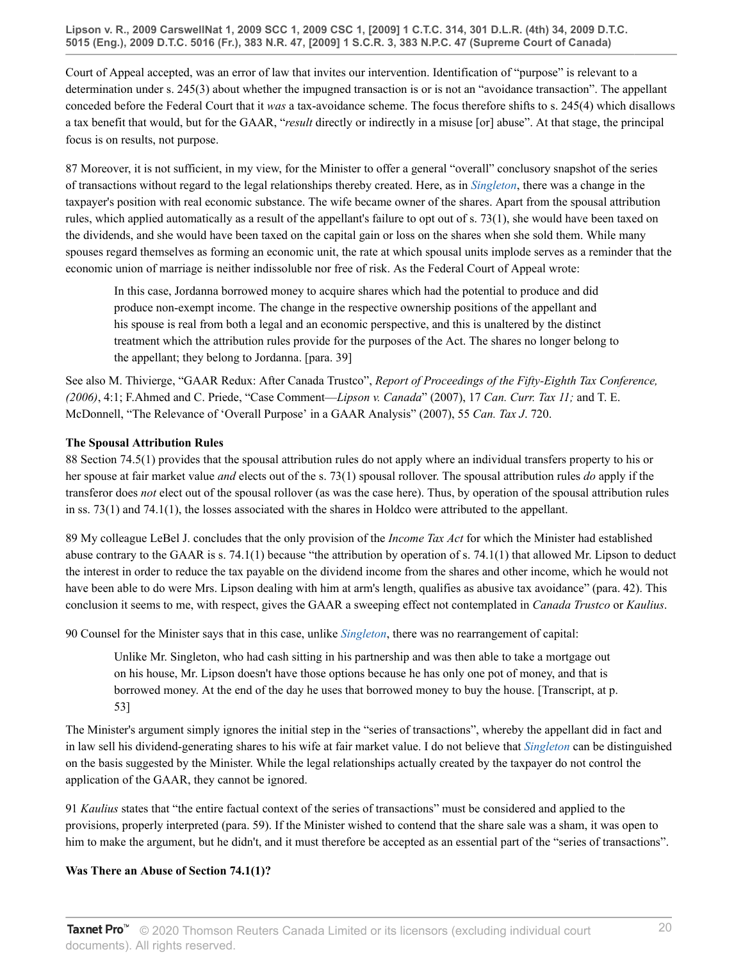Court of Appeal accepted, was an error of law that invites our intervention. Identification of "purpose" is relevant to a determination under s. 245(3) about whether the impugned transaction is or is not an "avoidance transaction". The appellant conceded before the Federal Court that it *was* a tax-avoidance scheme. The focus therefore shifts to s. 245(4) which disallows a tax benefit that would, but for the GAAR, "*result* directly or indirectly in a misuse [or] abuse". At that stage, the principal focus is on results, not purpose.

87 Moreover, it is not sufficient, in my view, for the Minister to offer a general "overall" conclusory snapshot of the series of transactions without regard to the legal relationships thereby created. Here, as in *[Singleton](http://v3.taxnetpro.com/Document/I8d7d9393e0df5dece0440003ba833f85/View/FullText.html?originationContext=document&vr=3.0&rs=cblt1.0&transitionType=DocumentItem&contextData=(sc.Search))*, there was a change in the taxpayer's position with real economic substance. The wife became owner of the shares. Apart from the spousal attribution rules, which applied automatically as a result of the appellant's failure to opt out of s. 73(1), she would have been taxed on the dividends, and she would have been taxed on the capital gain or loss on the shares when she sold them. While many spouses regard themselves as forming an economic unit, the rate at which spousal units implode serves as a reminder that the economic union of marriage is neither indissoluble nor free of risk. As the Federal Court of Appeal wrote:

In this case, Jordanna borrowed money to acquire shares which had the potential to produce and did produce non-exempt income. The change in the respective ownership positions of the appellant and his spouse is real from both a legal and an economic perspective, and this is unaltered by the distinct treatment which the attribution rules provide for the purposes of the Act. The shares no longer belong to the appellant; they belong to Jordanna. [para. 39]

See also M. Thivierge, "GAAR Redux: After Canada Trustco", *Report of Proceedings of the Fifty-Eighth Tax Conference, (2006)*, 4:1; F.Ahmed and C. Priede, "Case Comment—*Lipson v. Canada*" (2007), 17 *Can. Curr. Tax 11;* and T. E. McDonnell, "The Relevance of 'Overall Purpose' in a GAAR Analysis" (2007), 55 *Can. Tax J*. 720.

#### **The Spousal Attribution Rules**

88 Section 74.5(1) provides that the spousal attribution rules do not apply where an individual transfers property to his or her spouse at fair market value *and* elects out of the s. 73(1) spousal rollover. The spousal attribution rules *do* apply if the transferor does *not* elect out of the spousal rollover (as was the case here). Thus, by operation of the spousal attribution rules in ss. 73(1) and 74.1(1), the losses associated with the shares in Holdco were attributed to the appellant.

89 My colleague LeBel J. concludes that the only provision of the *Income Tax Act* for which the Minister had established abuse contrary to the GAAR is s. 74.1(1) because "the attribution by operation of s. 74.1(1) that allowed Mr. Lipson to deduct the interest in order to reduce the tax payable on the dividend income from the shares and other income, which he would not have been able to do were Mrs. Lipson dealing with him at arm's length, qualifies as abusive tax avoidance" (para. 42). This conclusion it seems to me, with respect, gives the GAAR a sweeping effect not contemplated in *Canada Trustco* or *Kaulius*.

90 Counsel for the Minister says that in this case, unlike *[Singleton](http://v3.taxnetpro.com/Document/I8d7d9393e0df5dece0440003ba833f85/View/FullText.html?originationContext=document&vr=3.0&rs=cblt1.0&transitionType=DocumentItem&contextData=(sc.Search))*, there was no rearrangement of capital:

Unlike Mr. Singleton, who had cash sitting in his partnership and was then able to take a mortgage out on his house, Mr. Lipson doesn't have those options because he has only one pot of money, and that is borrowed money. At the end of the day he uses that borrowed money to buy the house. [Transcript, at p. 53]

The Minister's argument simply ignores the initial step in the "series of transactions", whereby the appellant did in fact and in law sell his dividend-generating shares to his wife at fair market value. I do not believe that *[Singleton](http://v3.taxnetpro.com/Document/I8d7d9393e0df5dece0440003ba833f85/View/FullText.html?originationContext=document&vr=3.0&rs=cblt1.0&transitionType=DocumentItem&contextData=(sc.Search))* can be distinguished on the basis suggested by the Minister. While the legal relationships actually created by the taxpayer do not control the application of the GAAR, they cannot be ignored.

91 *Kaulius* states that "the entire factual context of the series of transactions" must be considered and applied to the provisions, properly interpreted (para. 59). If the Minister wished to contend that the share sale was a sham, it was open to him to make the argument, but he didn't, and it must therefore be accepted as an essential part of the "series of transactions".

# **Was There an Abuse of Section 74.1(1)?**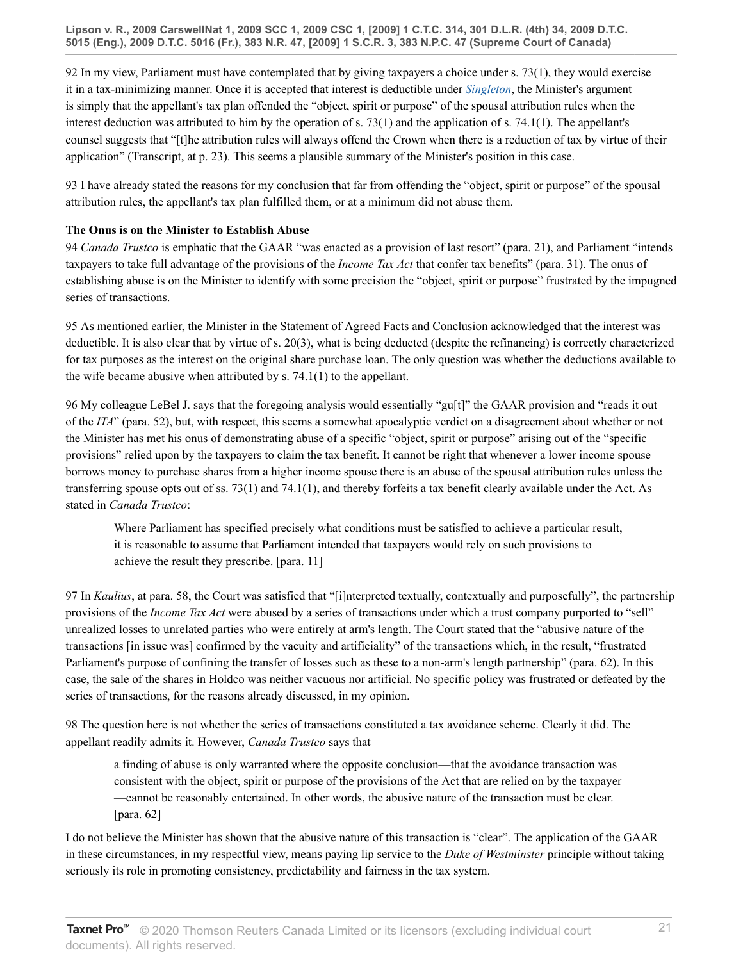92 In my view, Parliament must have contemplated that by giving taxpayers a choice under s. 73(1), they would exercise it in a tax-minimizing manner. Once it is accepted that interest is deductible under *[Singleton](http://v3.taxnetpro.com/Document/I8d7d9393e0df5dece0440003ba833f85/View/FullText.html?originationContext=document&vr=3.0&rs=cblt1.0&transitionType=DocumentItem&contextData=(sc.Search))*, the Minister's argument is simply that the appellant's tax plan offended the "object, spirit or purpose" of the spousal attribution rules when the interest deduction was attributed to him by the operation of s. 73(1) and the application of s. 74.1(1). The appellant's counsel suggests that "[t]he attribution rules will always offend the Crown when there is a reduction of tax by virtue of their application" (Transcript, at p. 23). This seems a plausible summary of the Minister's position in this case.

93 I have already stated the reasons for my conclusion that far from offending the "object, spirit or purpose" of the spousal attribution rules, the appellant's tax plan fulfilled them, or at a minimum did not abuse them.

# **The Onus is on the Minister to Establish Abuse**

94 *Canada Trustco* is emphatic that the GAAR "was enacted as a provision of last resort" (para. 21), and Parliament "intends taxpayers to take full advantage of the provisions of the *Income Tax Act* that confer tax benefits" (para. 31). The onus of establishing abuse is on the Minister to identify with some precision the "object, spirit or purpose" frustrated by the impugned series of transactions.

95 As mentioned earlier, the Minister in the Statement of Agreed Facts and Conclusion acknowledged that the interest was deductible. It is also clear that by virtue of s. 20(3), what is being deducted (despite the refinancing) is correctly characterized for tax purposes as the interest on the original share purchase loan. The only question was whether the deductions available to the wife became abusive when attributed by s.  $74.1(1)$  to the appellant.

96 My colleague LeBel J. says that the foregoing analysis would essentially "gu[t]" the GAAR provision and "reads it out of the *ITA*" (para. 52), but, with respect, this seems a somewhat apocalyptic verdict on a disagreement about whether or not the Minister has met his onus of demonstrating abuse of a specific "object, spirit or purpose" arising out of the "specific provisions" relied upon by the taxpayers to claim the tax benefit. It cannot be right that whenever a lower income spouse borrows money to purchase shares from a higher income spouse there is an abuse of the spousal attribution rules unless the transferring spouse opts out of ss. 73(1) and 74.1(1), and thereby forfeits a tax benefit clearly available under the Act. As stated in *Canada Trustco*:

Where Parliament has specified precisely what conditions must be satisfied to achieve a particular result, it is reasonable to assume that Parliament intended that taxpayers would rely on such provisions to achieve the result they prescribe. [para. 11]

97 In *Kaulius*, at para. 58, the Court was satisfied that "[i]nterpreted textually, contextually and purposefully", the partnership provisions of the *Income Tax Act* were abused by a series of transactions under which a trust company purported to "sell" unrealized losses to unrelated parties who were entirely at arm's length. The Court stated that the "abusive nature of the transactions [in issue was] confirmed by the vacuity and artificiality" of the transactions which, in the result, "frustrated Parliament's purpose of confining the transfer of losses such as these to a non-arm's length partnership" (para. 62). In this case, the sale of the shares in Holdco was neither vacuous nor artificial. No specific policy was frustrated or defeated by the series of transactions, for the reasons already discussed, in my opinion.

98 The question here is not whether the series of transactions constituted a tax avoidance scheme. Clearly it did. The appellant readily admits it. However, *Canada Trustco* says that

a finding of abuse is only warranted where the opposite conclusion—that the avoidance transaction was consistent with the object, spirit or purpose of the provisions of the Act that are relied on by the taxpayer —cannot be reasonably entertained. In other words, the abusive nature of the transaction must be clear. [para. 62]

I do not believe the Minister has shown that the abusive nature of this transaction is "clear". The application of the GAAR in these circumstances, in my respectful view, means paying lip service to the *Duke of Westminster* principle without taking seriously its role in promoting consistency, predictability and fairness in the tax system.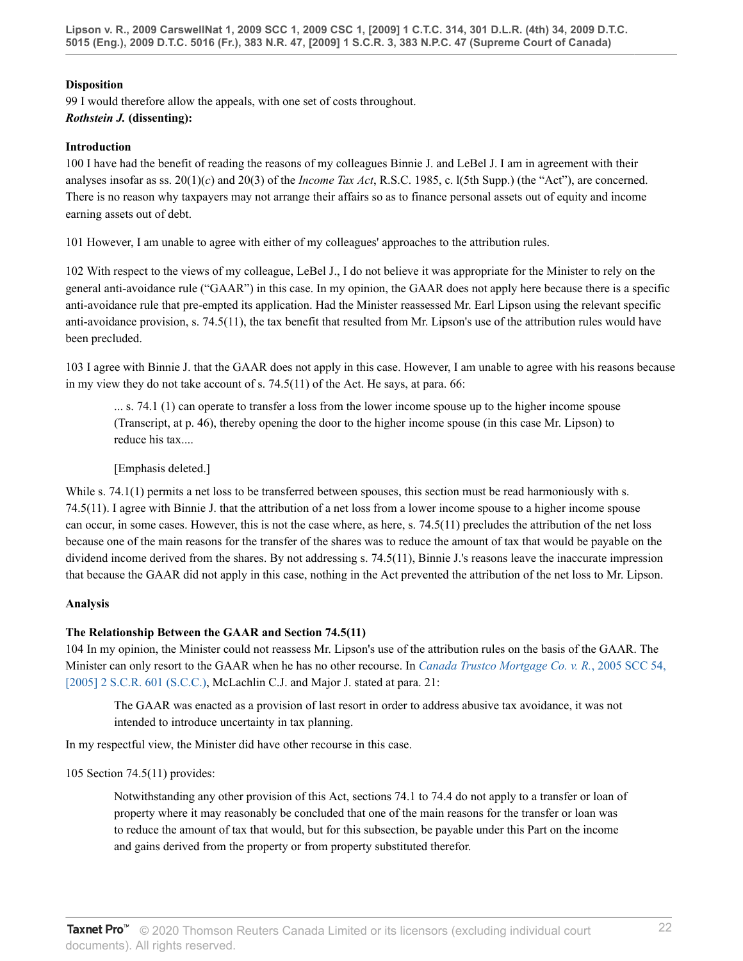# **Disposition**

99 I would therefore allow the appeals, with one set of costs throughout. *Rothstein J.* **(dissenting):**

#### **Introduction**

100 I have had the benefit of reading the reasons of my colleagues Binnie J. and LeBel J. I am in agreement with their analyses insofar as ss.  $20(1)(c)$  and  $20(3)$  of the *Income Tax Act*, R.S.C. 1985, c. 1(5th Supp.) (the "Act"), are concerned. There is no reason why taxpayers may not arrange their affairs so as to finance personal assets out of equity and income earning assets out of debt.

101 However, I am unable to agree with either of my colleagues' approaches to the attribution rules.

102 With respect to the views of my colleague, LeBel J., I do not believe it was appropriate for the Minister to rely on the general anti-avoidance rule ("GAAR") in this case. In my opinion, the GAAR does not apply here because there is a specific anti-avoidance rule that pre-empted its application. Had the Minister reassessed Mr. Earl Lipson using the relevant specific anti-avoidance provision, s. 74.5(11), the tax benefit that resulted from Mr. Lipson's use of the attribution rules would have been precluded.

103 I agree with Binnie J. that the GAAR does not apply in this case. However, I am unable to agree with his reasons because in my view they do not take account of s. 74.5(11) of the Act. He says, at para. 66:

... s. 74.1 (1) can operate to transfer a loss from the lower income spouse up to the higher income spouse (Transcript, at p. 46), thereby opening the door to the higher income spouse (in this case Mr. Lipson) to reduce his tax....

#### [Emphasis deleted.]

While s. 74.1(1) permits a net loss to be transferred between spouses, this section must be read harmoniously with s. 74.5(11). I agree with Binnie J. that the attribution of a net loss from a lower income spouse to a higher income spouse can occur, in some cases. However, this is not the case where, as here, s. 74.5(11) precludes the attribution of the net loss because one of the main reasons for the transfer of the shares was to reduce the amount of tax that would be payable on the dividend income derived from the shares. By not addressing s. 74.5(11), Binnie J.'s reasons leave the inaccurate impression that because the GAAR did not apply in this case, nothing in the Act prevented the attribution of the net loss to Mr. Lipson.

#### **Analysis**

#### **The Relationship Between the GAAR and Section 74.5(11)**

104 In my opinion, the Minister could not reassess Mr. Lipson's use of the attribution rules on the basis of the GAAR. The Minister can only resort to the GAAR when he has no other recourse. In *[Canada Trustco Mortgage Co. v. R.](http://v3.taxnetpro.com/Document/I8d7d939394245dece0440003ba833f85/View/FullText.html?originationContext=document&vr=3.0&rs=cblt1.0&transitionType=DocumentItem&contextData=(sc.Search))*, 2005 SCC 54, [\[2005\] 2 S.C.R. 601 \(S.C.C.\)](http://v3.taxnetpro.com/Document/I8d7d939394245dece0440003ba833f85/View/FullText.html?originationContext=document&vr=3.0&rs=cblt1.0&transitionType=DocumentItem&contextData=(sc.Search)), McLachlin C.J. and Major J. stated at para. 21:

The GAAR was enacted as a provision of last resort in order to address abusive tax avoidance, it was not intended to introduce uncertainty in tax planning.

In my respectful view, the Minister did have other recourse in this case.

105 Section 74.5(11) provides:

Notwithstanding any other provision of this Act, sections 74.1 to 74.4 do not apply to a transfer or loan of property where it may reasonably be concluded that one of the main reasons for the transfer or loan was to reduce the amount of tax that would, but for this subsection, be payable under this Part on the income and gains derived from the property or from property substituted therefor.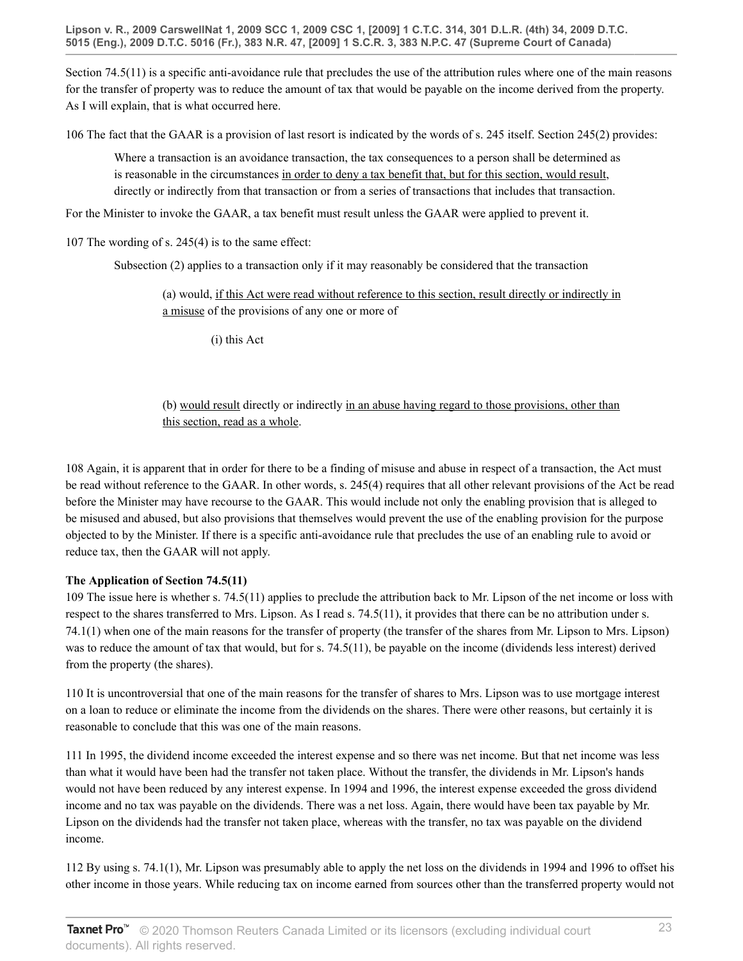Section 74.5(11) is a specific anti-avoidance rule that precludes the use of the attribution rules where one of the main reasons for the transfer of property was to reduce the amount of tax that would be payable on the income derived from the property. As I will explain, that is what occurred here.

106 The fact that the GAAR is a provision of last resort is indicated by the words of s. 245 itself. Section 245(2) provides:

Where a transaction is an avoidance transaction, the tax consequences to a person shall be determined as is reasonable in the circumstances in order to deny a tax benefit that, but for this section, would result, directly or indirectly from that transaction or from a series of transactions that includes that transaction.

For the Minister to invoke the GAAR, a tax benefit must result unless the GAAR were applied to prevent it.

107 The wording of s. 245(4) is to the same effect:

Subsection (2) applies to a transaction only if it may reasonably be considered that the transaction

(a) would, if this Act were read without reference to this section, result directly or indirectly in a misuse of the provisions of any one or more of

(i) this Act

# (b) would result directly or indirectly in an abuse having regard to those provisions, other than this section, read as a whole.

108 Again, it is apparent that in order for there to be a finding of misuse and abuse in respect of a transaction, the Act must be read without reference to the GAAR. In other words, s. 245(4) requires that all other relevant provisions of the Act be read before the Minister may have recourse to the GAAR. This would include not only the enabling provision that is alleged to be misused and abused, but also provisions that themselves would prevent the use of the enabling provision for the purpose objected to by the Minister. If there is a specific anti-avoidance rule that precludes the use of an enabling rule to avoid or reduce tax, then the GAAR will not apply.

# **The Application of Section 74.5(11)**

109 The issue here is whether s. 74.5(11) applies to preclude the attribution back to Mr. Lipson of the net income or loss with respect to the shares transferred to Mrs. Lipson. As I read s. 74.5(11), it provides that there can be no attribution under s. 74.1(1) when one of the main reasons for the transfer of property (the transfer of the shares from Mr. Lipson to Mrs. Lipson) was to reduce the amount of tax that would, but for s. 74.5(11), be payable on the income (dividends less interest) derived from the property (the shares).

110 It is uncontroversial that one of the main reasons for the transfer of shares to Mrs. Lipson was to use mortgage interest on a loan to reduce or eliminate the income from the dividends on the shares. There were other reasons, but certainly it is reasonable to conclude that this was one of the main reasons.

111 In 1995, the dividend income exceeded the interest expense and so there was net income. But that net income was less than what it would have been had the transfer not taken place. Without the transfer, the dividends in Mr. Lipson's hands would not have been reduced by any interest expense. In 1994 and 1996, the interest expense exceeded the gross dividend income and no tax was payable on the dividends. There was a net loss. Again, there would have been tax payable by Mr. Lipson on the dividends had the transfer not taken place, whereas with the transfer, no tax was payable on the dividend income.

112 By using s. 74.1(1), Mr. Lipson was presumably able to apply the net loss on the dividends in 1994 and 1996 to offset his other income in those years. While reducing tax on income earned from sources other than the transferred property would not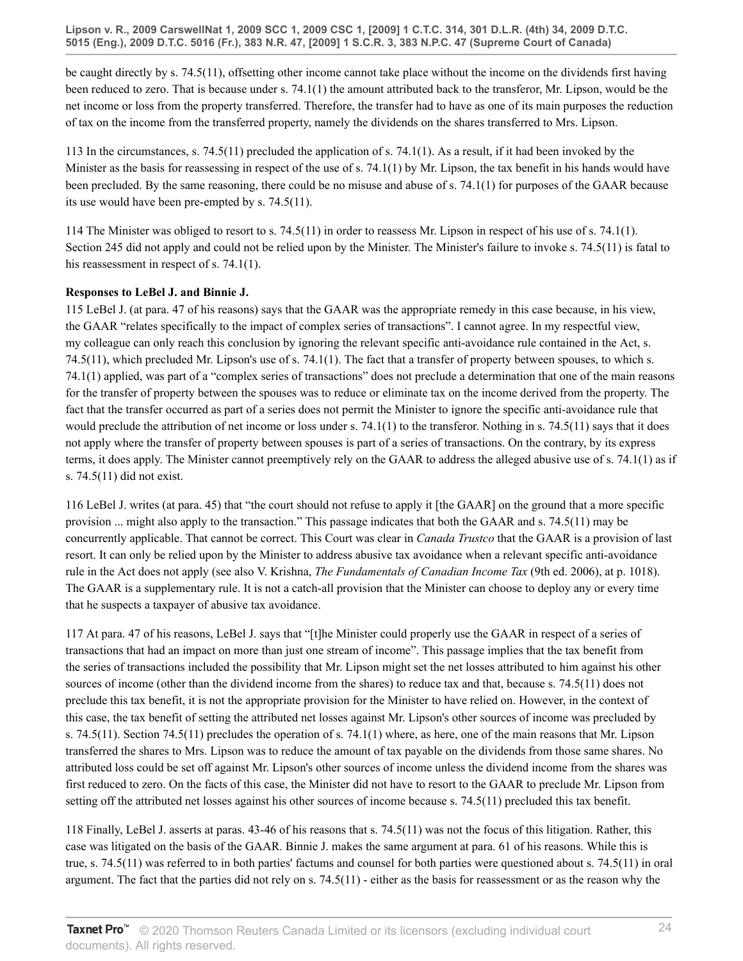be caught directly by s. 74.5(11), offsetting other income cannot take place without the income on the dividends first having been reduced to zero. That is because under s. 74.1(1) the amount attributed back to the transferor, Mr. Lipson, would be the net income or loss from the property transferred. Therefore, the transfer had to have as one of its main purposes the reduction of tax on the income from the transferred property, namely the dividends on the shares transferred to Mrs. Lipson.

113 In the circumstances, s. 74.5(11) precluded the application of s. 74.1(1). As a result, if it had been invoked by the Minister as the basis for reassessing in respect of the use of s. 74.1(1) by Mr. Lipson, the tax benefit in his hands would have been precluded. By the same reasoning, there could be no misuse and abuse of s. 74.1(1) for purposes of the GAAR because its use would have been pre-empted by s. 74.5(11).

114 The Minister was obliged to resort to s. 74.5(11) in order to reassess Mr. Lipson in respect of his use of s. 74.1(1). Section 245 did not apply and could not be relied upon by the Minister. The Minister's failure to invoke s. 74.5(11) is fatal to his reassessment in respect of s. 74.1(1).

# **Responses to LeBel J. and Binnie J.**

115 LeBel J. (at para. 47 of his reasons) says that the GAAR was the appropriate remedy in this case because, in his view, the GAAR "relates specifically to the impact of complex series of transactions". I cannot agree. In my respectful view, my colleague can only reach this conclusion by ignoring the relevant specific anti-avoidance rule contained in the Act, s. 74.5(11), which precluded Mr. Lipson's use of s. 74.1(1). The fact that a transfer of property between spouses, to which s. 74.1(1) applied, was part of a "complex series of transactions" does not preclude a determination that one of the main reasons for the transfer of property between the spouses was to reduce or eliminate tax on the income derived from the property. The fact that the transfer occurred as part of a series does not permit the Minister to ignore the specific anti-avoidance rule that would preclude the attribution of net income or loss under s.  $74.1(1)$  to the transferor. Nothing in s.  $74.5(11)$  says that it does not apply where the transfer of property between spouses is part of a series of transactions. On the contrary, by its express terms, it does apply. The Minister cannot preemptively rely on the GAAR to address the alleged abusive use of s. 74.1(1) as if s. 74.5(11) did not exist.

116 LeBel J. writes (at para. 45) that "the court should not refuse to apply it [the GAAR] on the ground that a more specific provision ... might also apply to the transaction." This passage indicates that both the GAAR and s. 74.5(11) may be concurrently applicable. That cannot be correct. This Court was clear in *Canada Trustco* that the GAAR is a provision of last resort. It can only be relied upon by the Minister to address abusive tax avoidance when a relevant specific anti-avoidance rule in the Act does not apply (see also V. Krishna, *The Fundamentals of Canadian Income Tax* (9th ed. 2006), at p. 1018). The GAAR is a supplementary rule. It is not a catch-all provision that the Minister can choose to deploy any or every time that he suspects a taxpayer of abusive tax avoidance.

117 At para. 47 of his reasons, LeBel J. says that "[t]he Minister could properly use the GAAR in respect of a series of transactions that had an impact on more than just one stream of income". This passage implies that the tax benefit from the series of transactions included the possibility that Mr. Lipson might set the net losses attributed to him against his other sources of income (other than the dividend income from the shares) to reduce tax and that, because s. 74.5(11) does not preclude this tax benefit, it is not the appropriate provision for the Minister to have relied on. However, in the context of this case, the tax benefit of setting the attributed net losses against Mr. Lipson's other sources of income was precluded by s. 74.5(11). Section 74.5(11) precludes the operation of s. 74.1(1) where, as here, one of the main reasons that Mr. Lipson transferred the shares to Mrs. Lipson was to reduce the amount of tax payable on the dividends from those same shares. No attributed loss could be set off against Mr. Lipson's other sources of income unless the dividend income from the shares was first reduced to zero. On the facts of this case, the Minister did not have to resort to the GAAR to preclude Mr. Lipson from setting off the attributed net losses against his other sources of income because s. 74.5(11) precluded this tax benefit.

118 Finally, LeBel J. asserts at paras. 43-46 of his reasons that s. 74.5(11) was not the focus of this litigation. Rather, this case was litigated on the basis of the GAAR. Binnie J. makes the same argument at para. 61 of his reasons. While this is true, s. 74.5(11) was referred to in both parties' factums and counsel for both parties were questioned about s. 74.5(11) in oral argument. The fact that the parties did not rely on s. 74.5(11) - either as the basis for reassessment or as the reason why the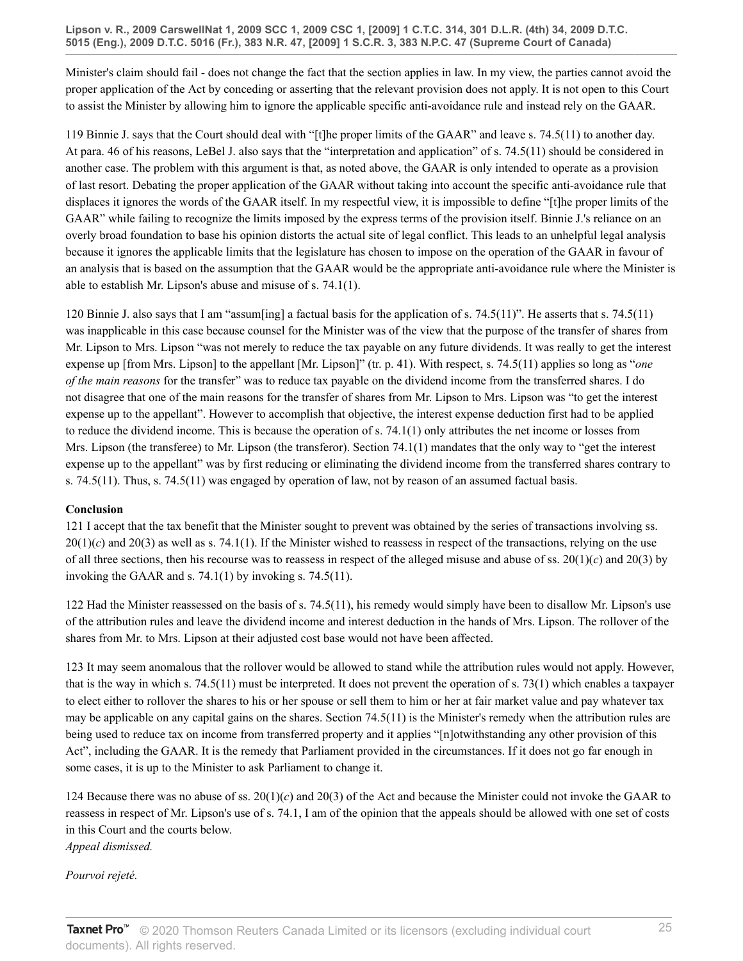Minister's claim should fail - does not change the fact that the section applies in law. In my view, the parties cannot avoid the proper application of the Act by conceding or asserting that the relevant provision does not apply. It is not open to this Court to assist the Minister by allowing him to ignore the applicable specific anti-avoidance rule and instead rely on the GAAR.

119 Binnie J. says that the Court should deal with "[t]he proper limits of the GAAR" and leave s. 74.5(11) to another day. At para. 46 of his reasons, LeBel J. also says that the "interpretation and application" of s. 74.5(11) should be considered in another case. The problem with this argument is that, as noted above, the GAAR is only intended to operate as a provision of last resort. Debating the proper application of the GAAR without taking into account the specific anti-avoidance rule that displaces it ignores the words of the GAAR itself. In my respectful view, it is impossible to define "[t]he proper limits of the GAAR" while failing to recognize the limits imposed by the express terms of the provision itself. Binnie J.'s reliance on an overly broad foundation to base his opinion distorts the actual site of legal conflict. This leads to an unhelpful legal analysis because it ignores the applicable limits that the legislature has chosen to impose on the operation of the GAAR in favour of an analysis that is based on the assumption that the GAAR would be the appropriate anti-avoidance rule where the Minister is able to establish Mr. Lipson's abuse and misuse of s. 74.1(1).

120 Binnie J. also says that I am "assum[ing] a factual basis for the application of s. 74.5(11)". He asserts that s. 74.5(11) was inapplicable in this case because counsel for the Minister was of the view that the purpose of the transfer of shares from Mr. Lipson to Mrs. Lipson "was not merely to reduce the tax payable on any future dividends. It was really to get the interest expense up [from Mrs. Lipson] to the appellant [Mr. Lipson]" (tr. p. 41). With respect, s. 74.5(11) applies so long as "*one of the main reasons* for the transfer" was to reduce tax payable on the dividend income from the transferred shares. I do not disagree that one of the main reasons for the transfer of shares from Mr. Lipson to Mrs. Lipson was "to get the interest expense up to the appellant". However to accomplish that objective, the interest expense deduction first had to be applied to reduce the dividend income. This is because the operation of s. 74.1(1) only attributes the net income or losses from Mrs. Lipson (the transferee) to Mr. Lipson (the transferor). Section 74.1(1) mandates that the only way to "get the interest expense up to the appellant" was by first reducing or eliminating the dividend income from the transferred shares contrary to s. 74.5(11). Thus, s. 74.5(11) was engaged by operation of law, not by reason of an assumed factual basis.

# **Conclusion**

121 I accept that the tax benefit that the Minister sought to prevent was obtained by the series of transactions involving ss.  $20(1)(c)$  and  $20(3)$  as well as s. 74.1(1). If the Minister wished to reassess in respect of the transactions, relying on the use of all three sections, then his recourse was to reassess in respect of the alleged misuse and abuse of ss.  $20(1)(c)$  and  $20(3)$  by invoking the GAAR and s. 74.1(1) by invoking s. 74.5(11).

122 Had the Minister reassessed on the basis of s. 74.5(11), his remedy would simply have been to disallow Mr. Lipson's use of the attribution rules and leave the dividend income and interest deduction in the hands of Mrs. Lipson. The rollover of the shares from Mr. to Mrs. Lipson at their adjusted cost base would not have been affected.

123 It may seem anomalous that the rollover would be allowed to stand while the attribution rules would not apply. However, that is the way in which s. 74.5(11) must be interpreted. It does not prevent the operation of s. 73(1) which enables a taxpayer to elect either to rollover the shares to his or her spouse or sell them to him or her at fair market value and pay whatever tax may be applicable on any capital gains on the shares. Section 74.5(11) is the Minister's remedy when the attribution rules are being used to reduce tax on income from transferred property and it applies "[n]otwithstanding any other provision of this Act", including the GAAR. It is the remedy that Parliament provided in the circumstances. If it does not go far enough in some cases, it is up to the Minister to ask Parliament to change it.

124 Because there was no abuse of ss.  $20(1)(c)$  and  $20(3)$  of the Act and because the Minister could not invoke the GAAR to reassess in respect of Mr. Lipson's use of s. 74.1, I am of the opinion that the appeals should be allowed with one set of costs in this Court and the courts below.

*Appeal dismissed.*

*Pourvoi rejeté.*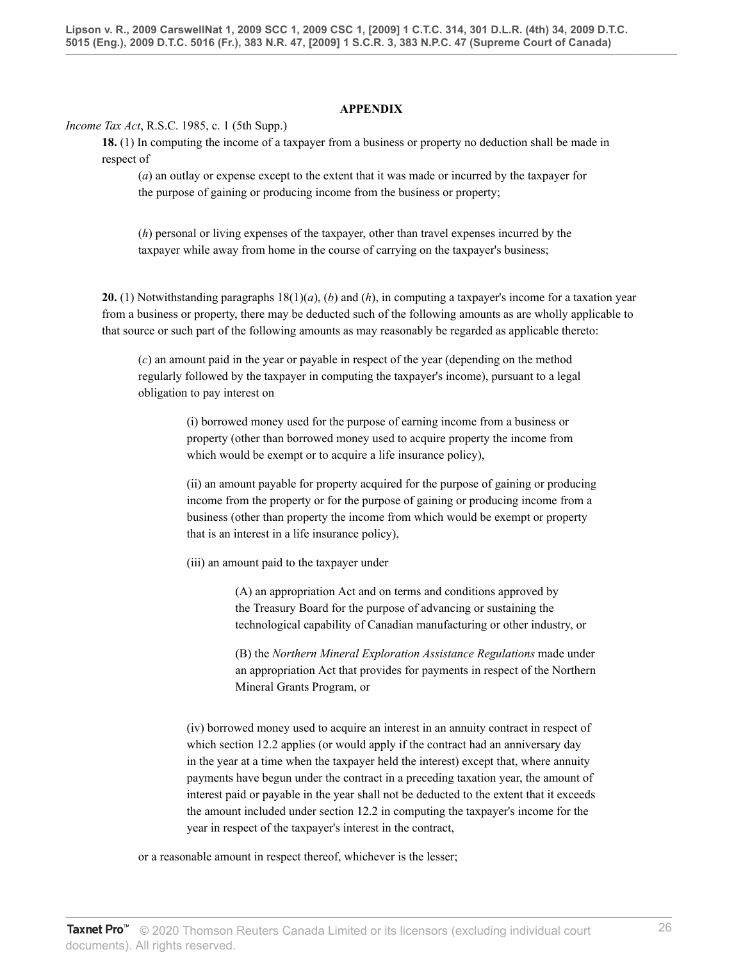#### **APPENDIX**

*Income Tax Act*, R.S.C. 1985, c. 1 (5th Supp.)

**18.** (1) In computing the income of a taxpayer from a business or property no deduction shall be made in respect of

(*a*) an outlay or expense except to the extent that it was made or incurred by the taxpayer for the purpose of gaining or producing income from the business or property;

(*h*) personal or living expenses of the taxpayer, other than travel expenses incurred by the taxpayer while away from home in the course of carrying on the taxpayer's business;

**20.** (1) Notwithstanding paragraphs 18(1)(*a*), (*b*) and (*h*), in computing a taxpayer's income for a taxation year from a business or property, there may be deducted such of the following amounts as are wholly applicable to that source or such part of the following amounts as may reasonably be regarded as applicable thereto:

(*c*) an amount paid in the year or payable in respect of the year (depending on the method regularly followed by the taxpayer in computing the taxpayer's income), pursuant to a legal obligation to pay interest on

> (i) borrowed money used for the purpose of earning income from a business or property (other than borrowed money used to acquire property the income from which would be exempt or to acquire a life insurance policy).

(ii) an amount payable for property acquired for the purpose of gaining or producing income from the property or for the purpose of gaining or producing income from a business (other than property the income from which would be exempt or property that is an interest in a life insurance policy),

(iii) an amount paid to the taxpayer under

(A) an appropriation Act and on terms and conditions approved by the Treasury Board for the purpose of advancing or sustaining the technological capability of Canadian manufacturing or other industry, or

(B) the *Northern Mineral Exploration Assistance Regulations* made under an appropriation Act that provides for payments in respect of the Northern Mineral Grants Program, or

(iv) borrowed money used to acquire an interest in an annuity contract in respect of which section 12.2 applies (or would apply if the contract had an anniversary day in the year at a time when the taxpayer held the interest) except that, where annuity payments have begun under the contract in a preceding taxation year, the amount of interest paid or payable in the year shall not be deducted to the extent that it exceeds the amount included under section 12.2 in computing the taxpayer's income for the year in respect of the taxpayer's interest in the contract,

or a reasonable amount in respect thereof, whichever is the lesser;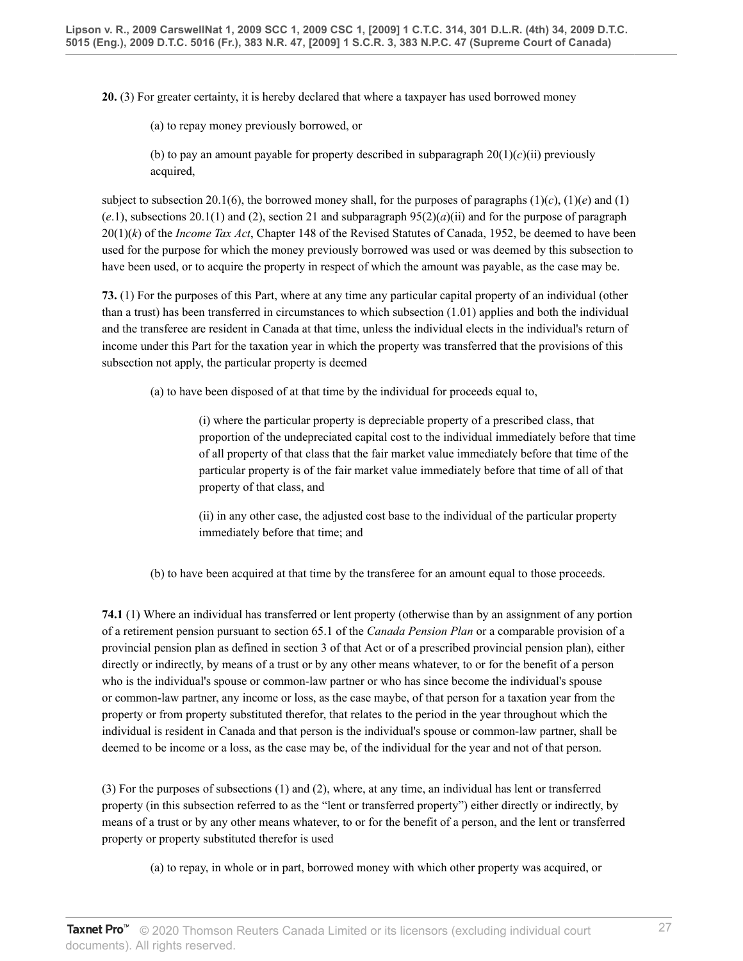**20.** (3) For greater certainty, it is hereby declared that where a taxpayer has used borrowed money

(a) to repay money previously borrowed, or

(b) to pay an amount payable for property described in subparagraph  $20(1)(c)(ii)$  previously acquired,

subject to subsection 20.1(6), the borrowed money shall, for the purposes of paragraphs  $(1)(c)$ ,  $(1)(e)$  and  $(1)$ (*e*.1), subsections 20.1(1) and (2), section 21 and subparagraph 95(2)(*a*)(ii) and for the purpose of paragraph 20(1)(*k*) of the *Income Tax Act*, Chapter 148 of the Revised Statutes of Canada, 1952, be deemed to have been used for the purpose for which the money previously borrowed was used or was deemed by this subsection to have been used, or to acquire the property in respect of which the amount was payable, as the case may be.

**73.** (1) For the purposes of this Part, where at any time any particular capital property of an individual (other than a trust) has been transferred in circumstances to which subsection (1.01) applies and both the individual and the transferee are resident in Canada at that time, unless the individual elects in the individual's return of income under this Part for the taxation year in which the property was transferred that the provisions of this subsection not apply, the particular property is deemed

(a) to have been disposed of at that time by the individual for proceeds equal to,

(i) where the particular property is depreciable property of a prescribed class, that proportion of the undepreciated capital cost to the individual immediately before that time of all property of that class that the fair market value immediately before that time of the particular property is of the fair market value immediately before that time of all of that property of that class, and

(ii) in any other case, the adjusted cost base to the individual of the particular property immediately before that time; and

(b) to have been acquired at that time by the transferee for an amount equal to those proceeds.

**74.1** (1) Where an individual has transferred or lent property (otherwise than by an assignment of any portion of a retirement pension pursuant to section 65.1 of the *Canada Pension Plan* or a comparable provision of a provincial pension plan as defined in section 3 of that Act or of a prescribed provincial pension plan), either directly or indirectly, by means of a trust or by any other means whatever, to or for the benefit of a person who is the individual's spouse or common-law partner or who has since become the individual's spouse or common-law partner, any income or loss, as the case maybe, of that person for a taxation year from the property or from property substituted therefor, that relates to the period in the year throughout which the individual is resident in Canada and that person is the individual's spouse or common-law partner, shall be deemed to be income or a loss, as the case may be, of the individual for the year and not of that person.

(3) For the purposes of subsections (1) and (2), where, at any time, an individual has lent or transferred property (in this subsection referred to as the "lent or transferred property") either directly or indirectly, by means of a trust or by any other means whatever, to or for the benefit of a person, and the lent or transferred property or property substituted therefor is used

(a) to repay, in whole or in part, borrowed money with which other property was acquired, or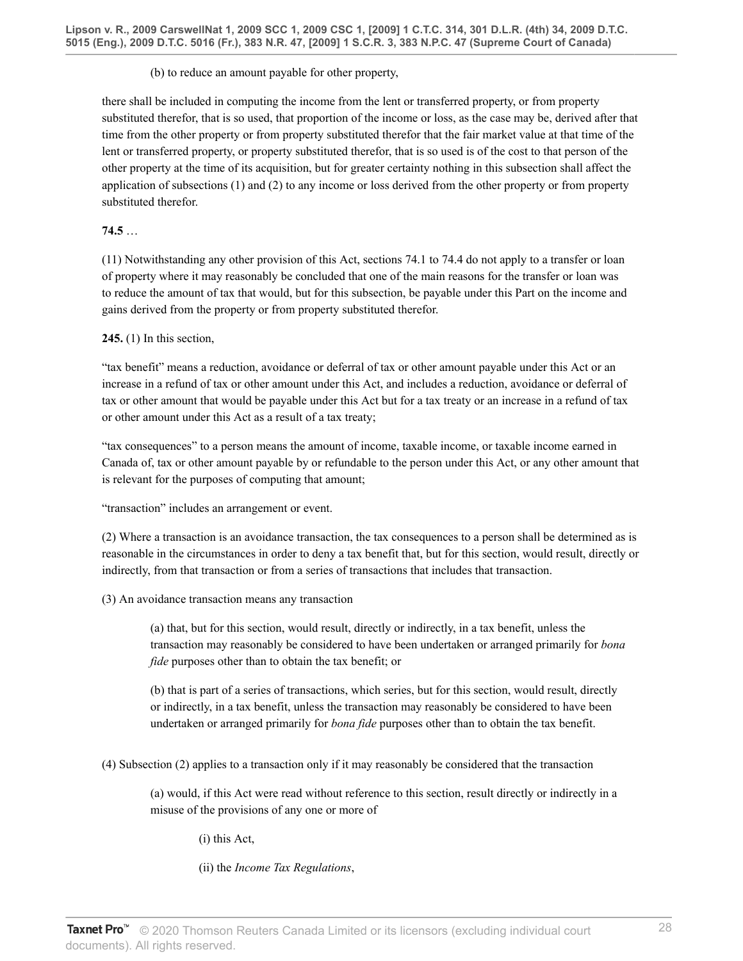(b) to reduce an amount payable for other property,

there shall be included in computing the income from the lent or transferred property, or from property substituted therefor, that is so used, that proportion of the income or loss, as the case may be, derived after that time from the other property or from property substituted therefor that the fair market value at that time of the lent or transferred property, or property substituted therefor, that is so used is of the cost to that person of the other property at the time of its acquisition, but for greater certainty nothing in this subsection shall affect the application of subsections (1) and (2) to any income or loss derived from the other property or from property substituted therefor.

# **74.5** …

(11) Notwithstanding any other provision of this Act, sections 74.1 to 74.4 do not apply to a transfer or loan of property where it may reasonably be concluded that one of the main reasons for the transfer or loan was to reduce the amount of tax that would, but for this subsection, be payable under this Part on the income and gains derived from the property or from property substituted therefor.

#### **245.** (1) In this section,

"tax benefit" means a reduction, avoidance or deferral of tax or other amount payable under this Act or an increase in a refund of tax or other amount under this Act, and includes a reduction, avoidance or deferral of tax or other amount that would be payable under this Act but for a tax treaty or an increase in a refund of tax or other amount under this Act as a result of a tax treaty;

"tax consequences" to a person means the amount of income, taxable income, or taxable income earned in Canada of, tax or other amount payable by or refundable to the person under this Act, or any other amount that is relevant for the purposes of computing that amount;

"transaction" includes an arrangement or event.

(2) Where a transaction is an avoidance transaction, the tax consequences to a person shall be determined as is reasonable in the circumstances in order to deny a tax benefit that, but for this section, would result, directly or indirectly, from that transaction or from a series of transactions that includes that transaction.

(3) An avoidance transaction means any transaction

(a) that, but for this section, would result, directly or indirectly, in a tax benefit, unless the transaction may reasonably be considered to have been undertaken or arranged primarily for *bona fide* purposes other than to obtain the tax benefit; or

(b) that is part of a series of transactions, which series, but for this section, would result, directly or indirectly, in a tax benefit, unless the transaction may reasonably be considered to have been undertaken or arranged primarily for *bona fide* purposes other than to obtain the tax benefit.

(4) Subsection (2) applies to a transaction only if it may reasonably be considered that the transaction

(a) would, if this Act were read without reference to this section, result directly or indirectly in a misuse of the provisions of any one or more of

(i) this Act,

(ii) the *Income Tax Regulations*,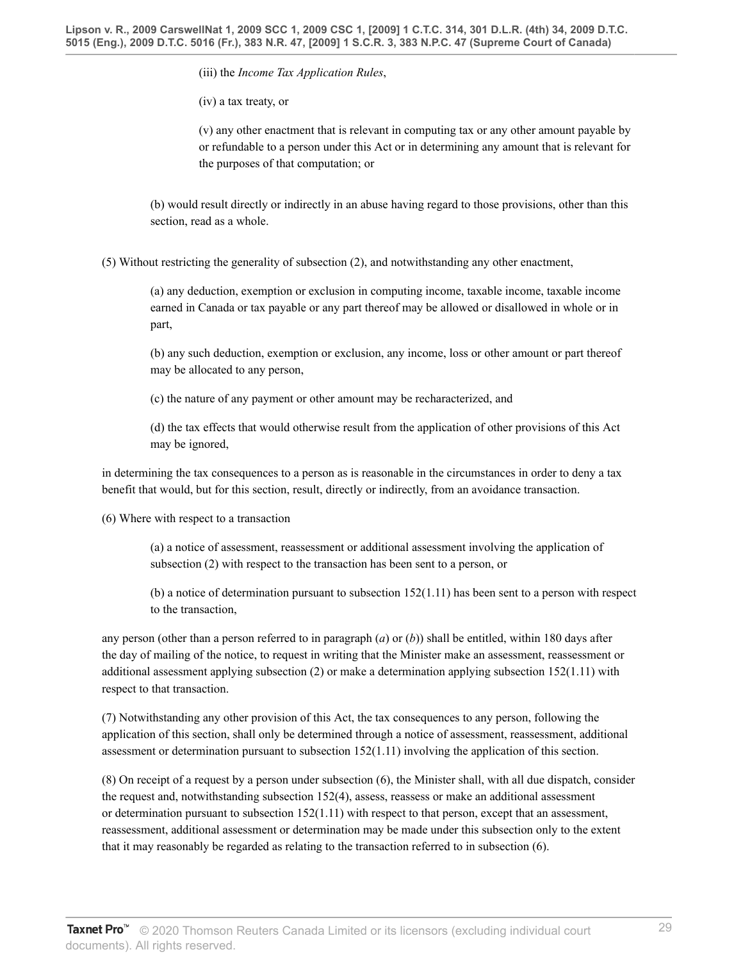(iii) the *Income Tax Application Rules*,

(iv) a tax treaty, or

(v) any other enactment that is relevant in computing tax or any other amount payable by or refundable to a person under this Act or in determining any amount that is relevant for the purposes of that computation; or

(b) would result directly or indirectly in an abuse having regard to those provisions, other than this section, read as a whole.

(5) Without restricting the generality of subsection (2), and notwithstanding any other enactment,

(a) any deduction, exemption or exclusion in computing income, taxable income, taxable income earned in Canada or tax payable or any part thereof may be allowed or disallowed in whole or in part,

(b) any such deduction, exemption or exclusion, any income, loss or other amount or part thereof may be allocated to any person,

(c) the nature of any payment or other amount may be recharacterized, and

(d) the tax effects that would otherwise result from the application of other provisions of this Act may be ignored,

in determining the tax consequences to a person as is reasonable in the circumstances in order to deny a tax benefit that would, but for this section, result, directly or indirectly, from an avoidance transaction.

(6) Where with respect to a transaction

(a) a notice of assessment, reassessment or additional assessment involving the application of subsection (2) with respect to the transaction has been sent to a person, or

(b) a notice of determination pursuant to subsection 152(1.11) has been sent to a person with respect to the transaction,

any person (other than a person referred to in paragraph (*a*) or (*b*)) shall be entitled, within 180 days after the day of mailing of the notice, to request in writing that the Minister make an assessment, reassessment or additional assessment applying subsection (2) or make a determination applying subsection 152(1.11) with respect to that transaction.

(7) Notwithstanding any other provision of this Act, the tax consequences to any person, following the application of this section, shall only be determined through a notice of assessment, reassessment, additional assessment or determination pursuant to subsection 152(1.11) involving the application of this section.

(8) On receipt of a request by a person under subsection (6), the Minister shall, with all due dispatch, consider the request and, notwithstanding subsection 152(4), assess, reassess or make an additional assessment or determination pursuant to subsection  $152(1.11)$  with respect to that person, except that an assessment, reassessment, additional assessment or determination may be made under this subsection only to the extent that it may reasonably be regarded as relating to the transaction referred to in subsection (6).